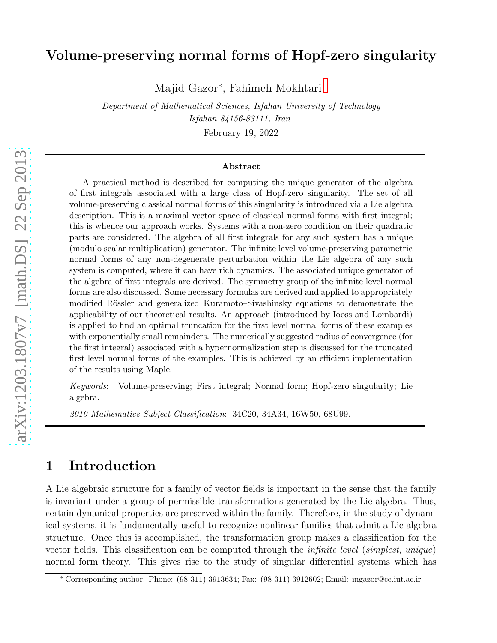#### Volume-preserving normal forms of Hopf-zero singularity

Majid Gazor<sup>∗</sup> , Fahimeh Mokhtari

Department of Mathematical Sciences, Isfahan University of Technology Isfahan 84156-83111, Iran February 19, 2022

#### Abstract

A practical method is described for computing the unique generator of the algebra of first integrals associated with a large class of Hopf-zero singularity. The set of all volume-preserving classical normal forms of this singularity is introduced via a Lie algebra description. This is a maximal vector space of classical normal forms with first integral; this is whence our approach works. Systems with a non-zero condition on their quadratic parts are considered. The algebra of all first integrals for any such system has a unique (modulo scalar multiplication) generator. The infinite level volume-preserving parametric normal forms of any non-degenerate perturbation within the Lie algebra of any such system is computed, where it can have rich dynamics. The associated unique generator of the algebra of first integrals are derived. The symmetry group of the infinite level normal forms are also discussed. Some necessary formulas are derived and applied to appropriately modified Rössler and generalized Kuramoto–Sivashinsky equations to demonstrate the applicability of our theoretical results. An approach (introduced by Iooss and Lombardi) is applied to find an optimal truncation for the first level normal forms of these examples with exponentially small remainders. The numerically suggested radius of convergence (for the first integral) associated with a hypernormalization step is discussed for the truncated first level normal forms of the examples. This is achieved by an efficient implementation of the results using Maple.

Keywords: Volume-preserving; First integral; Normal form; Hopf-zero singularity; Lie algebra.

2010 Mathematics Subject Classification: 34C20, 34A34, 16W50, 68U99.

## 1 Introduction

A Lie algebraic structure for a family of vector fields is important in the sense that the family is invariant under a group of permissible transformations generated by the Lie algebra. Thus, certain dynamical properties are preserved within the family. Therefore, in the study of dynamical systems, it is fundamentally useful to recognize nonlinear families that admit a Lie algebra structure. Once this is accomplished, the transformation group makes a classification for the vector fields. This classification can be computed through the infinite level (simplest, unique) normal form theory. This gives rise to the study of singular differential systems which has

<sup>∗</sup> Corresponding author. Phone: (98-311) 3913634; Fax: (98-311) 3912602; Email: mgazor@cc.iut.ac.ir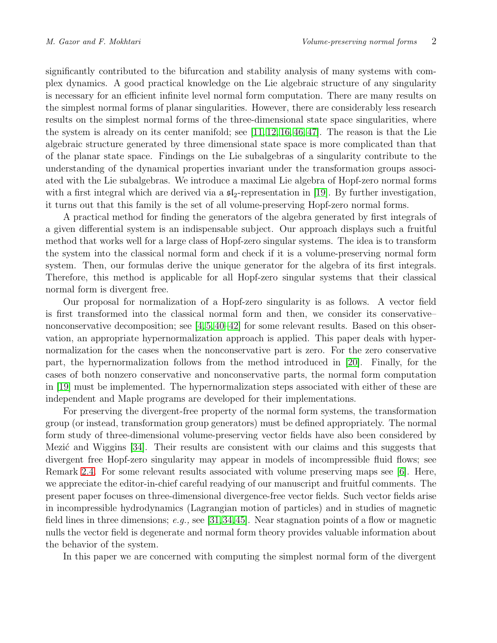significantly contributed to the bifurcation and stability analysis of many systems with complex dynamics. A good practical knowledge on the Lie algebraic structure of any singularity is necessary for an efficient infinite level normal form computation. There are many results on the simplest normal forms of planar singularities. However, there are considerably less research results on the simplest normal forms of the three-dimensional state space singularities, where the system is already on its center manifold; see  $[11, 12, 16, 46, 47]$  $[11, 12, 16, 46, 47]$  $[11, 12, 16, 46, 47]$  $[11, 12, 16, 46, 47]$  $[11, 12, 16, 46, 47]$ . The reason is that the Lie algebraic structure generated by three dimensional state space is more complicated than that of the planar state space. Findings on the Lie subalgebras of a singularity contribute to the understanding of the dynamical properties invariant under the transformation groups associated with the Lie subalgebras. We introduce a maximal Lie algebra of Hopf-zero normal forms with a first integral which are derived via a  $\mathfrak{sl}_2$ -representation in [\[19\]](#page-26-0). By further investigation, it turns out that this family is the set of all volume-preserving Hopf-zero normal forms.

A practical method for finding the generators of the algebra generated by first integrals of a given differential system is an indispensable subject. Our approach displays such a fruitful method that works well for a large class of Hopf-zero singular systems. The idea is to transform the system into the classical normal form and check if it is a volume-preserving normal form system. Then, our formulas derive the unique generator for the algebra of its first integrals. Therefore, this method is applicable for all Hopf-zero singular systems that their classical normal form is divergent free.

Our proposal for normalization of a Hopf-zero singularity is as follows. A vector field is first transformed into the classical normal form and then, we consider its conservative– nonconservative decomposition; see  $[4,5,40-42]$  $[4,5,40-42]$  $[4,5,40-42]$  $[4,5,40-42]$  for some relevant results. Based on this observation, an appropriate hypernormalization approach is applied. This paper deals with hypernormalization for the cases when the nonconservative part is zero. For the zero conservative part, the hypernormalization follows from the method introduced in [\[20\]](#page-26-1). Finally, for the cases of both nonzero conservative and nonconservative parts, the normal form computation in [\[19\]](#page-26-0) must be implemented. The hypernormalization steps associated with either of these are independent and Maple programs are developed for their implementations.

For preserving the divergent-free property of the normal form systems, the transformation group (or instead, transformation group generators) must be defined appropriately. The normal form study of three-dimensional volume-preserving vector fields have also been considered by Mezic and Wiggins  $[34]$ . Their results are consistent with our claims and this suggests that divergent free Hopf-zero singularity may appear in models of incompressible fluid flows; see Remark [2.4.](#page-6-0) For some relevant results associated with volume preserving maps see [\[6\]](#page-25-5). Here, we appreciate the editor-in-chief careful readying of our manuscript and fruitful comments. The present paper focuses on three-dimensional divergence-free vector fields. Such vector fields arise in incompressible hydrodynamics (Lagrangian motion of particles) and in studies of magnetic field lines in three dimensions; e.g., see [\[31,](#page-26-2)[34,](#page-27-4)[45\]](#page-27-5). Near stagnation points of a flow or magnetic nulls the vector field is degenerate and normal form theory provides valuable information about the behavior of the system.

In this paper we are concerned with computing the simplest normal form of the divergent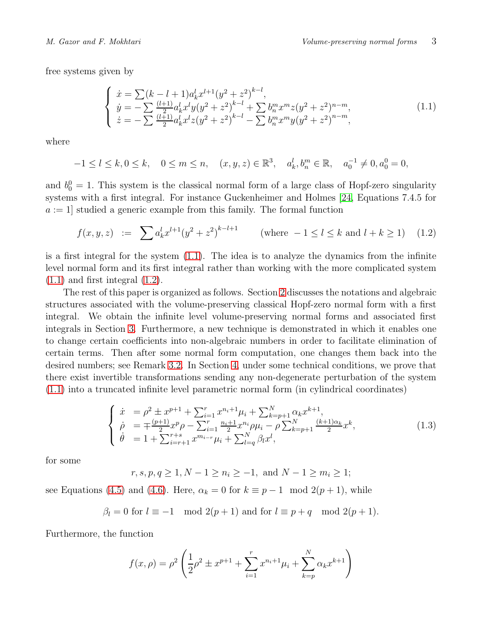free systems given by

<span id="page-2-0"></span>
$$
\begin{cases}\n\dot{x} = \sum (k - l + 1) a_k^l x^{l+1} (y^2 + z^2)^{k-l}, \\
\dot{y} = -\sum \frac{(l+1)}{2} a_k^l x^l y (y^2 + z^2)^{k-l} + \sum b_n^m x^m z (y^2 + z^2)^{n-m}, \\
\dot{z} = -\sum \frac{(l+1)}{2} a_k^l x^l z (y^2 + z^2)^{k-l} - \sum b_n^m x^m y (y^2 + z^2)^{n-m},\n\end{cases}
$$
\n(1.1)

where

$$
-1 \le l \le k, 0 \le k, \quad 0 \le m \le n, \quad (x, y, z) \in \mathbb{R}^3, \quad a_k^l, b_n^m \in \mathbb{R}, \quad a_0^{-1} \neq 0, a_0^0 = 0,
$$

and  $b_0^0 = 1$ . This system is the classical normal form of a large class of Hopf-zero singularity systems with a first integral. For instance Guckenheimer and Holmes [\[24,](#page-26-3) Equations 7.4.5 for  $a := 1$  studied a generic example from this family. The formal function

<span id="page-2-1"></span>
$$
f(x, y, z) := \sum a_k^l x^{l+1} (y^2 + z^2)^{k-l+1} \qquad \text{(where } -1 \le l \le k \text{ and } l+k \ge 1) \tag{1.2}
$$

is a first integral for the system [\(1.1\)](#page-2-0). The idea is to analyze the dynamics from the infinite level normal form and its first integral rather than working with the more complicated system  $(1.1)$  and first integral  $(1.2)$ .

The rest of this paper is organized as follows. Section [2](#page-3-0) discusses the notations and algebraic structures associated with the volume-preserving classical Hopf-zero normal form with a first integral. We obtain the infinite level volume-preserving normal forms and associated first integrals in Section [3.](#page-6-1) Furthermore, a new technique is demonstrated in which it enables one to change certain coefficients into non-algebraic numbers in order to facilitate elimination of certain terms. Then after some normal form computation, one changes them back into the desired numbers; see Remark [3.2.](#page-7-0) In Section [4,](#page-10-0) under some technical conditions, we prove that there exist invertible transformations sending any non-degenerate perturbation of the system [\(1.1\)](#page-2-0) into a truncated infinite level parametric normal form (in cylindrical coordinates)

<span id="page-2-2"></span>
$$
\begin{cases}\n\dot{x} = \rho^2 \pm x^{p+1} + \sum_{i=1}^r x^{n_i+1} \mu_i + \sum_{k=p+1}^N \alpha_k x^{k+1}, \\
\dot{\rho} = \mp \frac{(p+1)}{2} x^p \rho - \sum_{i=1}^r \frac{n_i+1}{2} x^{n_i} \rho \mu_i - \rho \sum_{k=p+1}^N \frac{(k+1)\alpha_k}{2} x^k, \\
\dot{\theta} = 1 + \sum_{i=r+1}^{r+s} x^{m_i} \mu_i + \sum_{l=q}^N \beta_l x^l,\n\end{cases} (1.3)
$$

for some

 $r, s, p, q \geq 1, N - 1 \geq n_i \geq -1$ , and  $N - 1 \geq m_i \geq 1$ ;

see Equations [\(4.5\)](#page-12-0) and [\(4.6\)](#page-12-1). Here,  $\alpha_k = 0$  for  $k \equiv p - 1 \mod 2(p + 1)$ , while

$$
\beta_l = 0 \text{ for } l \equiv -1 \mod 2(p+1) \text{ and for } l \equiv p+q \mod 2(p+1).
$$

Furthermore, the function

$$
f(x,\rho) = \rho^2 \left( \frac{1}{2}\rho^2 \pm x^{p+1} + \sum_{i=1}^r x^{n_i+1} \mu_i + \sum_{k=p}^N \alpha_k x^{k+1} \right)
$$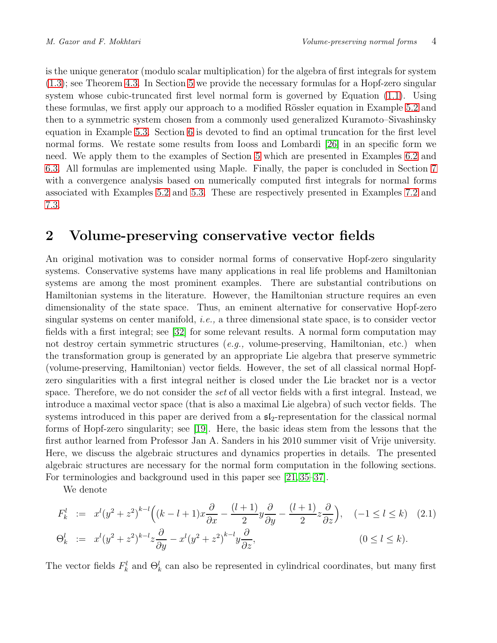is the unique generator (modulo scalar multiplication) for the algebra of first integrals for system [\(1.3\)](#page-2-2); see Theorem [4.3.](#page-13-0) In Section [5](#page-14-0) we provide the necessary formulas for a Hopf-zero singular system whose cubic-truncated first level normal form is governed by Equation [\(1.1\)](#page-2-0). Using these formulas, we first apply our approach to a modified Rössler equation in Example [5.2](#page-15-0) and then to a symmetric system chosen from a commonly used generalized Kuramoto–Sivashinsky equation in Example [5.3.](#page-16-0) Section [6](#page-18-0) is devoted to find an optimal truncation for the first level normal forms. We restate some results from Iooss and Lombardi [\[26\]](#page-26-4) in an specific form we need. We apply them to the examples of Section [5](#page-14-0) which are presented in Examples [6.2](#page-20-0) and [6.3.](#page-21-0) All formulas are implemented using Maple. Finally, the paper is concluded in Section [7](#page-23-0) with a convergence analysis based on numerically computed first integrals for normal forms associated with Examples [5.2](#page-15-0) and [5.3.](#page-16-0) These are respectively presented in Examples [7.2](#page-24-0) and [7.3.](#page-24-1)

#### <span id="page-3-0"></span>2 Volume-preserving conservative vector fields

An original motivation was to consider normal forms of conservative Hopf-zero singularity systems. Conservative systems have many applications in real life problems and Hamiltonian systems are among the most prominent examples. There are substantial contributions on Hamiltonian systems in the literature. However, the Hamiltonian structure requires an even dimensionality of the state space. Thus, an eminent alternative for conservative Hopf-zero singular systems on center manifold, i.e., a three dimensional state space, is to consider vector fields with a first integral; see [\[32\]](#page-26-5) for some relevant results. A normal form computation may not destroy certain symmetric structures (e.g., volume-preserving, Hamiltonian, etc.) when the transformation group is generated by an appropriate Lie algebra that preserve symmetric (volume-preserving, Hamiltonian) vector fields. However, the set of all classical normal Hopfzero singularities with a first integral neither is closed under the Lie bracket nor is a vector space. Therefore, we do not consider the set of all vector fields with a first integral. Instead, we introduce a maximal vector space (that is also a maximal Lie algebra) of such vector fields. The systems introduced in this paper are derived from a  $5\ell_2$ -representation for the classical normal forms of Hopf-zero singularity; see [\[19\]](#page-26-0). Here, the basic ideas stem from the lessons that the first author learned from Professor Jan A. Sanders in his 2010 summer visit of Vrije university. Here, we discuss the algebraic structures and dynamics properties in details. The presented algebraic structures are necessary for the normal form computation in the following sections. For terminologies and background used in this paper see [\[21,](#page-26-6) [35–](#page-27-6)[37\]](#page-27-7).

We denote

$$
F_k^l := x^l (y^2 + z^2)^{k-l} \Big( (k-l+1)x \frac{\partial}{\partial x} - \frac{(l+1)}{2} y \frac{\partial}{\partial y} - \frac{(l+1)}{2} z \frac{\partial}{\partial z} \Big), \quad (-1 \le l \le k) \quad (2.1)
$$
  
\n
$$
\Theta_k^l := x^l (y^2 + z^2)^{k-l} z \frac{\partial}{\partial y} - x^l (y^2 + z^2)^{k-l} y \frac{\partial}{\partial z}, \qquad (0 \le l \le k).
$$

The vector fields  $F_k^l$  and  $\Theta_k^l$  can also be represented in cylindrical coordinates, but many first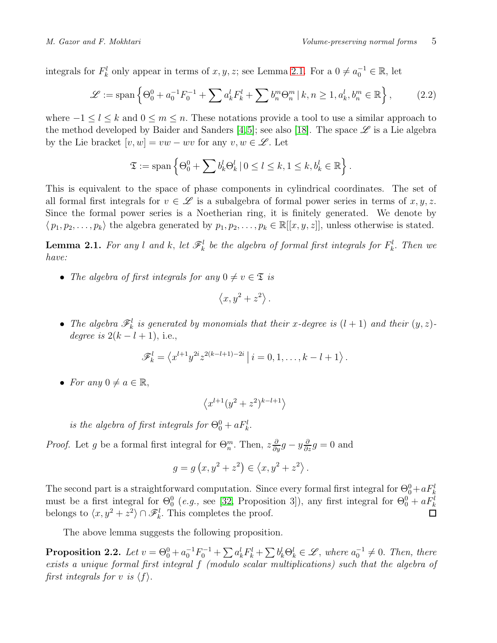integrals for  $F_k^l$  only appear in terms of  $x, y, z$ ; see Lemma [2.1.](#page-4-0) For a  $0 \neq a_0^{-1} \in \mathbb{R}$ , let

$$
\mathcal{L} := \text{span}\left\{\Theta_0^0 + a_0^{-1}F_0^{-1} + \sum a_k^l F_k^l + \sum b_n^m \Theta_n^m \, | \, k, n \ge 1, a_k^l, b_n^m \in \mathbb{R} \right\},\tag{2.2}
$$

where  $-1 \leq l \leq k$  and  $0 \leq m \leq n$ . These notations provide a tool to use a similar approach to the method developed by Baider and Sanders [\[4,](#page-25-3)[5\]](#page-25-4); see also [\[18\]](#page-26-7). The space  $\mathscr L$  is a Lie algebra by the Lie bracket  $[v, w] = vw - wv$  for any  $v, w \in \mathscr{L}$ . Let

$$
\mathfrak{T} := \text{span}\left\{\Theta_0^0 + \sum b_k^l \Theta_k^l \mid 0 \leq l \leq k, 1 \leq k, b_k^l \in \mathbb{R}\right\}.
$$

This is equivalent to the space of phase components in cylindrical coordinates. The set of all formal first integrals for  $v \in \mathscr{L}$  is a subalgebra of formal power series in terms of  $x, y, z$ . Since the formal power series is a Noetherian ring, it is finitely generated. We denote by  $\langle p_1, p_2, \ldots, p_k \rangle$  the algebra generated by  $p_1, p_2, \ldots, p_k \in \mathbb{R}[[x, y, z]]$ , unless otherwise is stated.

<span id="page-4-0"></span>**Lemma 2.1.** For any l and k, let  $\mathscr{F}_k^l$  be the algebra of formal first integrals for  $F_k^l$ . Then we have:

• The algebra of first integrals for any  $0 \neq v \in \mathfrak{T}$  is

$$
\left\langle x,y^2+z^2\right\rangle.
$$

• The algebra  $\mathscr{F}^l_k$  is generated by monomials that their x-degree is  $(l + 1)$  and their  $(y, z)$ degree is  $2(k-l+1)$ , i.e.,

$$
\mathscr{F}_{k}^{l} = \left\langle x^{l+1} y^{2i} z^{2(k-l+1)-2i} \, \right| \, i = 0, 1, \ldots, k-l+1 \right\rangle.
$$

• For any  $0 \neq a \in \mathbb{R}$ ,

$$
\left\langle x^{l+1}(y^2+z^2)^{k-l+1}\right\rangle
$$

is the algebra of first integrals for  $\Theta_0^0 + aF_k^l$ .

*Proof.* Let g be a formal first integral for  $\Theta_n^m$ . Then,  $z \frac{\partial}{\partial y} g - y \frac{\partial}{\partial z} g = 0$  and

$$
g = g(x, y^2 + z^2) \in \langle x, y^2 + z^2 \rangle.
$$

The second part is a straightforward computation. Since every formal first integral for  $\Theta_0^0 + aF_k^l$ must be a first integral for  $\Theta_0^0$  (*e.g.*, see [\[32,](#page-26-5) Proposition 3]), any first integral for  $\Theta_0^0 + aF_k^l$ belongs to  $\langle x, y^2 + z^2 \rangle \cap \mathcal{F}_k^l$ . This completes the proof. □

The above lemma suggests the following proposition.

**Proposition 2.2.** Let  $v = \Theta_0^0 + a_0^{-1} F_0^{-1} + \sum a_k^l F_k^l + \sum b_k^l \Theta_k^l \in \mathcal{L}$ , where  $a_0^{-1} \neq 0$ . Then, there exists a unique formal first integral f (modulo scalar multiplications) such that the algebra of first integrals for v is  $\langle f \rangle$ .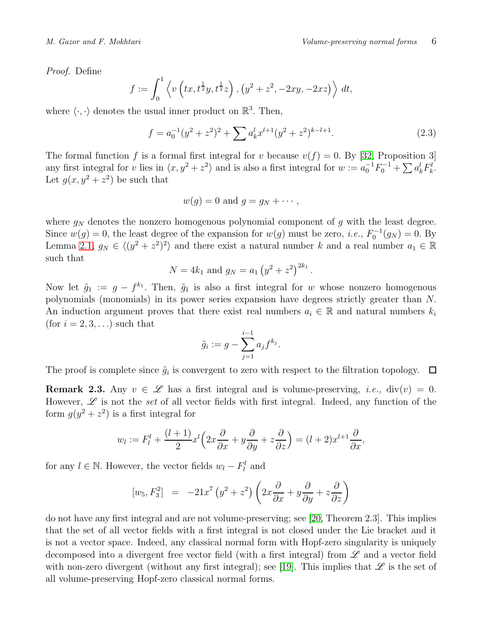Proof. Define

$$
f := \int_0^1 \left\langle v \left( tx, t^{\frac{1}{2}} y, t^{\frac{1}{2}} z \right), \left( y^2 + z^2, -2xy, -2xz \right) \right\rangle dt,
$$

where  $\langle \cdot, \cdot \rangle$  denotes the usual inner product on  $\mathbb{R}^3$ . Then,

$$
f = a_0^{-1}(y^2 + z^2)^2 + \sum a_k^l x^{l+1}(y^2 + z^2)^{k-l+1}.
$$
 (2.3)

The formal function f is a formal first integral for v because  $v(f) = 0$ . By [\[32,](#page-26-5) Proposition 3] any first integral for v lies in  $\langle x, y^2 + z^2 \rangle$  and is also a first integral for  $w := a_0^{-1} F_0^{-1} + \sum a_k^l F_k^l$ . Let  $g(x, y^2 + z^2)$  be such that

$$
w(g) = 0 \text{ and } g = g_N + \cdots,
$$

where  $g_N$  denotes the nonzero homogenous polynomial component of g with the least degree. Since  $w(g) = 0$ , the least degree of the expansion for  $w(g)$  must be zero, *i.e.*,  $F_0^{-1}(g_N) = 0$ . By Lemma [2.1,](#page-4-0)  $g_N \in \langle (y^2 + z^2)^2 \rangle$  and there exist a natural number k and a real number  $a_1 \in \mathbb{R}$ such that

$$
N = 4k_1
$$
 and  $g_N = a_1 (y^2 + z^2)^{2k_1}$ .

Now let  $\tilde{g}_1 := g - f^{k_1}$ . Then,  $\tilde{g}_1$  is also a first integral for w whose nonzero homogenous polynomials (monomials) in its power series expansion have degrees strictly greater than N. An induction argument proves that there exist real numbers  $a_i \in \mathbb{R}$  and natural numbers  $k_i$ (for  $i = 2, 3, \ldots$ ) such that

$$
\tilde{g}_i := g - \sum_{j=1}^{i-1} a_j f^{k_j}.
$$

The proof is complete since  $\tilde{g}_i$  is convergent to zero with respect to the filtration topology.

**Remark 2.3.** Any  $v \in \mathcal{L}$  has a first integral and is volume-preserving, *i.e.*, div(v) = 0. However,  $\mathscr L$  is not the set of all vector fields with first integral. Indeed, any function of the form  $g(y^2 + z^2)$  is a first integral for

$$
w_l := F_l^l + \frac{(l+1)}{2}x^l\left(2x\frac{\partial}{\partial x} + y\frac{\partial}{\partial y} + z\frac{\partial}{\partial z}\right) = (l+2)x^{l+1}\frac{\partial}{\partial x},
$$

for any  $l \in \mathbb{N}$ . However, the vector fields  $w_l - F_l^l$  and

$$
[w_5, F_3^2] = -21x^7(y^2 + z^2)\left(2x\frac{\partial}{\partial x} + y\frac{\partial}{\partial y} + z\frac{\partial}{\partial z}\right)
$$

do not have any first integral and are not volume-preserving; see [\[20,](#page-26-1) Theorem 2.3]. This implies that the set of all vector fields with a first integral is not closed under the Lie bracket and it is not a vector space. Indeed, any classical normal form with Hopf-zero singularity is uniquely decomposed into a divergent free vector field (with a first integral) from  $\mathscr L$  and a vector field with non-zero divergent (without any first integral); see [\[19\]](#page-26-0). This implies that  $\mathscr L$  is the set of all volume-preserving Hopf-zero classical normal forms.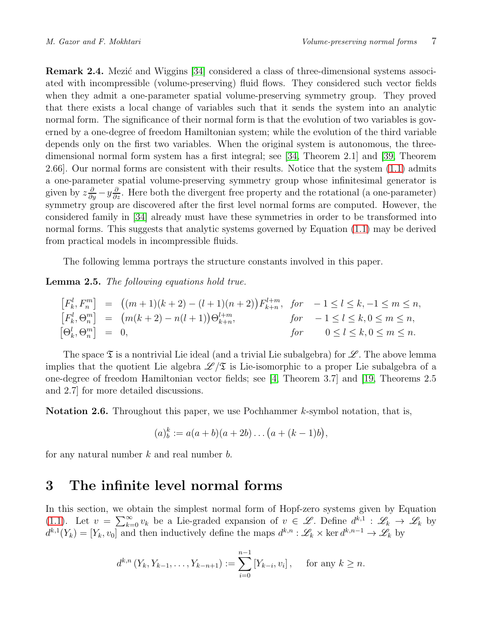<span id="page-6-0"></span>**Remark 2.4.** Mezic and Wiggins [\[34\]](#page-27-4) considered a class of three-dimensional systems associ-ated with incompressible (volume-preserving) fluid flows. They considered such vector fields when they admit a one-parameter spatial volume-preserving symmetry group. They proved that there exists a local change of variables such that it sends the system into an analytic normal form. The significance of their normal form is that the evolution of two variables is governed by a one-degree of freedom Hamiltonian system; while the evolution of the third variable depends only on the first two variables. When the original system is autonomous, the threedimensional normal form system has a first integral; see [\[34,](#page-27-4) Theorem 2.1] and [\[39,](#page-27-8) Theorem 2.66]. Our normal forms are consistent with their results. Notice that the system [\(1.1\)](#page-2-0) admits a one-parameter spatial volume-preserving symmetry group whose infinitesimal generator is given by  $z\frac{\partial}{\partial y} - y\frac{\partial}{\partial z}$ . Here both the divergent free property and the rotational (a one-parameter) symmetry group are discovered after the first level normal forms are computed. However, the considered family in [\[34\]](#page-27-4) already must have these symmetries in order to be transformed into normal forms. This suggests that analytic systems governed by Equation [\(1.1\)](#page-2-0) may be derived from practical models in incompressible fluids.

The following lemma portrays the structure constants involved in this paper.

Lemma 2.5. The following equations hold true.

$$
\begin{array}{rcl}\n[F_k^l, F_n^m] & = & \left( (m+1)(k+2) - (l+1)(n+2) \right) F_{k+n}^{l+m}, \quad \text{for} \quad -1 \le l \le k, -1 \le m \le n, \\
[F_k^l, \Theta_n^m] & = & \left( m(k+2) - n(l+1) \right) \Theta_{k+n}^{l+m}, \quad \text{for} \quad -1 \le l \le k, 0 \le m \le n, \\
[\Theta_k^l, \Theta_n^m] & = & 0, \quad \text{for} \quad 0 \le l \le k, 0 \le m \le n.\n\end{array}
$$

The space  $\mathfrak T$  is a nontrivial Lie ideal (and a trivial Lie subalgebra) for  $\mathscr L$ . The above lemma implies that the quotient Lie algebra  $\mathscr{L}/\mathfrak{T}$  is Lie-isomorphic to a proper Lie subalgebra of a one-degree of freedom Hamiltonian vector fields; see [\[4,](#page-25-3) Theorem 3.7] and [\[19,](#page-26-0) Theorems 2.5 and 2.7] for more detailed discussions.

Notation 2.6. Throughout this paper, we use Pochhammer k-symbol notation, that is,

$$
(a)_b^k := a(a+b)(a+2b)\dots(a+(k-1)b),
$$

<span id="page-6-1"></span>for any natural number  $k$  and real number  $b$ .

#### 3 The infinite level normal forms

In this section, we obtain the simplest normal form of Hopf-zero systems given by Equation [\(1.1\)](#page-2-0). Let  $v = \sum_{k=0}^{\infty} v_k$  be a Lie-graded expansion of  $v \in \mathscr{L}$ . Define  $d^{k,1} : \mathscr{L}_k \to \mathscr{L}_k$  by  $d^{k,1}(Y_k) = [Y_k, v_0]$  and then inductively define the maps  $d^{k,n} : \mathscr{L}_k \times \text{ker } d^{k,n-1} \to \mathscr{L}_k$  by

$$
d^{k,n}(Y_k, Y_{k-1}, \dots, Y_{k-n+1}) := \sum_{i=0}^{n-1} [Y_{k-i}, v_i], \quad \text{for any } k \ge n.
$$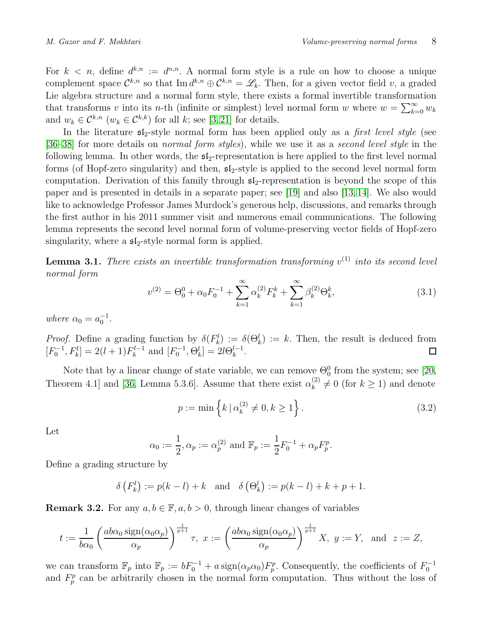For  $k < n$ , define  $d^{k,n} := d^{n,n}$ . A normal form style is a rule on how to choose a unique complement space  $\mathcal{C}^{k,n}$  so that  $\text{Im } d^{k,n} \oplus \mathcal{C}^{k,n} = \mathscr{L}_k$ . Then, for a given vector field v, a graded Lie algebra structure and a normal form style, there exists a formal invertible transformation that transforms v into its n-th (infinite or simplest) level normal form w where  $w = \sum_{k=0}^{\infty} w_k$ and  $w_k \in \mathcal{C}^{k,n}$   $(w_k \in \mathcal{C}^{k,k})$  for all k; see [\[3,](#page-25-6) [21\]](#page-26-6) for details.

In the literature  $\mathfrak{sl}_2$ -style normal form has been applied only as a *first level style* (see [\[36](#page-27-9)[–38\]](#page-27-10) for more details on *normal form styles*), while we use it as a *second level style* in the following lemma. In other words, the  $\mathfrak{sl}_2$ -representation is here applied to the first level normal forms (of Hopf-zero singularity) and then,  $\mathfrak{sl}_2$ -style is applied to the second level normal form computation. Derivation of this family through  $\mathfrak{sl}_2$ -representation is beyond the scope of this paper and is presented in details in a separate paper; see [\[19\]](#page-26-0) and also [\[13,](#page-25-7) [14\]](#page-25-8). We also would like to acknowledge Professor James Murdock's generous help, discussions, and remarks through the first author in his 2011 summer visit and numerous email communications. The following lemma represents the second level normal form of volume-preserving vector fields of Hopf-zero singularity, where a  $\mathfrak{sl}_2$ -style normal form is applied.

<span id="page-7-1"></span>**Lemma 3.1.** There exists an invertible transformation transforming  $v^{(1)}$  into its second level normal form

$$
v^{(2)} = \Theta_0^0 + \alpha_0 F_0^{-1} + \sum_{k=1}^{\infty} \alpha_k^{(2)} F_k^k + \sum_{k=1}^{\infty} \beta_k^{(2)} \Theta_k^k,
$$
\n(3.1)

where  $\alpha_0 = a_0^{-1}$ .

*Proof.* Define a grading function by  $\delta(F_k^l) := \delta(\Theta_k^l) := k$ . Then, the result is deduced from  $[F_0^{-1}, F_k^l] = 2(l+1)F_k^{l-1}$  and  $[F_0^{-1}, \Theta_k^l] = 2l\Theta_k^{l-1}$ .

Note that by a linear change of state variable, we can remove  $\Theta_0^0$  from the system; see [\[20,](#page-26-1) Theorem 4.1] and [\[36,](#page-27-9) Lemma 5.3.6]. Assume that there exist  $\alpha_k^{(2)}$  $k_k^{(2)} \neq 0$  (for  $k \geq 1$ ) and denote

$$
p := \min\left\{k \mid \alpha_k^{(2)} \neq 0, k \ge 1\right\}.
$$
\n(3.2)

Let

$$
\alpha_0 := \frac{1}{2}, \alpha_p := \alpha_p^{(2)}
$$
 and  $\mathbb{F}_p := \frac{1}{2} F_0^{-1} + \alpha_p F_p^p$ .

Define a grading structure by

$$
\delta(F_k^l) := p(k - l) + k
$$
 and  $\delta(\Theta_k^l) := p(k - l) + k + p + 1$ .

<span id="page-7-0"></span>**Remark 3.2.** For any  $a, b \in \mathbb{F}$ ,  $a, b > 0$ , through linear changes of variables

$$
t := \frac{1}{b\alpha_0} \left( \frac{ab\alpha_0 \operatorname{sign}(\alpha_0 \alpha_p)}{\alpha_p} \right)^{\frac{1}{p+1}} \tau, \ x := \left( \frac{ab\alpha_0 \operatorname{sign}(\alpha_0 \alpha_p)}{\alpha_p} \right)^{\frac{1}{p+1}} X, \ y := Y, \text{ and } z := Z,
$$

we can transform  $\mathbb{F}_p$  into  $\mathbb{F}_p := bF_0^{-1} + a \operatorname{sign}(\alpha_p \alpha_0) F_p^p$ . Consequently, the coefficients of  $F_0^{-1}$ and  $F_p^p$  can be arbitrarily chosen in the normal form computation. Thus without the loss of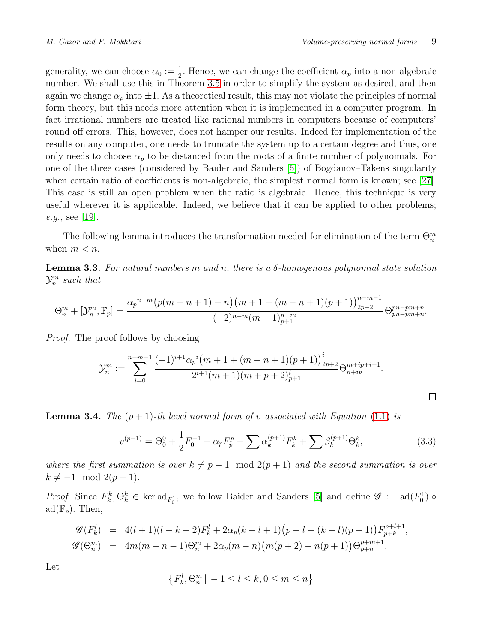$\Box$ 

generality, we can choose  $\alpha_0 := \frac{1}{2}$ . Hence, we can change the coefficient  $\alpha_p$  into a non-algebraic number. We shall use this in Theorem [3.5](#page-9-0) in order to simplify the system as desired, and then again we change  $\alpha_p$  into  $\pm 1$ . As a theoretical result, this may not violate the principles of normal form theory, but this needs more attention when it is implemented in a computer program. In fact irrational numbers are treated like rational numbers in computers because of computers' round off errors. This, however, does not hamper our results. Indeed for implementation of the results on any computer, one needs to truncate the system up to a certain degree and thus, one only needs to choose  $\alpha_p$  to be distanced from the roots of a finite number of polynomials. For one of the three cases (considered by Baider and Sanders [\[5\]](#page-25-4)) of Bogdanov–Takens singularity when certain ratio of coefficients is non-algebraic, the simplest normal form is known; see [\[27\]](#page-26-8). This case is still an open problem when the ratio is algebraic. Hence, this technique is very useful wherever it is applicable. Indeed, we believe that it can be applied to other problems; *e.g.*, see [\[19\]](#page-26-0).

The following lemma introduces the transformation needed for elimination of the term  $\Theta_n^m$ when  $m < n$ .

<span id="page-8-0"></span>**Lemma 3.3.** For natural numbers m and n, there is a  $\delta$ -homogenous polynomial state solution  $\mathcal{Y}_n^m$  such that

$$
\Theta_n^m + [\mathcal{Y}_n^m, \mathbb{F}_p] = \frac{\alpha_p^{n-m} (p(m-n+1)-n)(m+1+(m-n+1)(p+1))_{2p+2}^{n-m-1}}{(-2)^{n-m}(m+1)_{p+1}^{n-m}} \Theta_{pn-pm+n}^{pn-pm+n}.
$$

Proof. The proof follows by choosing

$$
\mathcal{Y}_n^m := \sum_{i=0}^{n-m-1} \frac{(-1)^{i+1} \alpha_p{}^i (m+1+(m-n+1)(p+1))_{2p+2}^i}{2^{i+1}(m+1)(m+p+2)_{p+1}^i} \Theta_{n+ip}^{m+ip+i+1}.
$$

<span id="page-8-1"></span>**Lemma 3.4.** The  $(p+1)$ -th level normal form of v associated with Equation [\(1.1\)](#page-2-0) is

$$
v^{(p+1)} = \Theta_0^0 + \frac{1}{2} F_0^{-1} + \alpha_p F_p^p + \sum \alpha_k^{(p+1)} F_k^k + \sum \beta_k^{(p+1)} \Theta_k^k, \tag{3.3}
$$

where the first summation is over  $k \neq p - 1 \mod 2(p + 1)$  and the second summation is over  $k \neq -1 \mod 2(p+1).$ 

*Proof.* Since  $F_k^k, \Theta_k^k \in \text{ker } ad_{F_0^1}$ , we follow Baider and Sanders [\[5\]](#page-25-4) and define  $\mathscr{G} := ad(F_0^1) \circ$  $ad(\mathbb{F}_p)$ . Then,

$$
\mathcal{G}(F_k^l) = 4(l+1)(l-k-2)F_k^l + 2\alpha_p(k-l+1)(p-l+(k-l)(p+1))F_{p+k}^{p+l+1},
$$
  

$$
\mathcal{G}(\Theta_n^m) = 4m(m-n-1)\Theta_n^m + 2\alpha_p(m-n)(m(p+2)-n(p+1))\Theta_{p+n}^{p+m+1}.
$$

Let

$$
\left\{F_k^l, \Theta_n^m \mid -1 \le l \le k, 0 \le m \le n\right\}
$$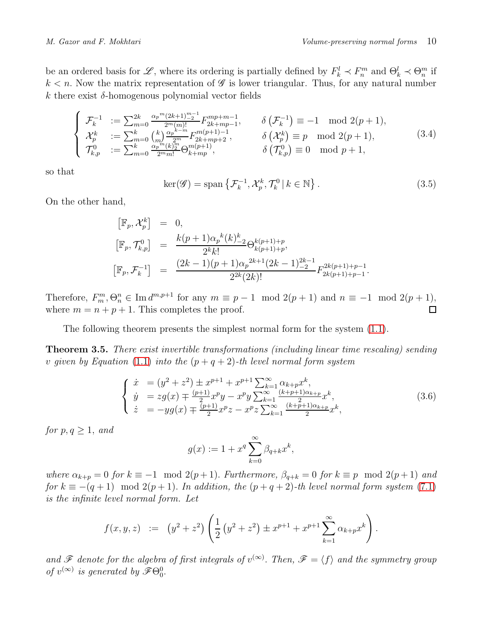be an ordered basis for  $\mathscr{L}$ , where its ordering is partially defined by  $F_k^l \prec F_n^m$  and  $\Theta_k^l \prec \Theta_n^m$  if  $k < n$ . Now the matrix representation of  $\mathscr G$  is lower triangular. Thus, for any natural number k there exist  $\delta$ -homogenous polynomial vector fields

$$
\begin{cases}\n\mathcal{F}_{k}^{-1} := \sum_{m=0}^{2k} \frac{\alpha_{p}^{m}(2k+1)\frac{m-1}{2}}{2^{m}(m)!} F_{2k+mp-1}^{mp+m-1}, & \delta\left(\mathcal{F}_{k}^{-1}\right) \equiv -1 \mod 2(p+1), \\
\mathcal{X}_{p}^{k} := \sum_{m=0}^{k} {k \choose m} \frac{\alpha_{p}^{k-m}}{2^{m}} F_{2k+mp+2}^{m(p+1)-1}, & \delta\left(\mathcal{X}_{p}^{k}\right) \equiv p \mod 2(p+1), \\
\mathcal{T}_{k,p}^{0} := \sum_{m=0}^{k} \frac{\alpha_{p}^{m}(k)\frac{m}{2}}{2^{m}m!} \Theta_{k+mp}^{m(p+1)}, & \delta\left(\mathcal{T}_{k,p}^{0}\right) \equiv 0 \mod p+1,\n\end{cases}
$$
\n(3.4)

so that

$$
\ker(\mathscr{G}) = \text{span}\left\{\mathcal{F}_k^{-1}, \mathcal{X}_p^k, \mathcal{T}_k^0 \,|\, k \in \mathbb{N}\right\}.
$$
\n(3.5)

On the other hand,

$$
\begin{array}{rcl}\n[\mathbb{F}_p, \mathcal{X}_p^k] & = & 0, \\
[\mathbb{F}_p, \mathcal{T}_{k,p}^0] & = & \frac{k(p+1)\alpha_p{}^k(k)\frac{k}{2}}{2^k k!} \Theta_{k(p+1)+p}^{k(p+1)+p}, \\
[\mathbb{F}_p, \mathcal{F}_k^{-1}] & = & \frac{(2k-1)(p+1)\alpha_p{}^{2k+1}(2k-1)\frac{2k-1}{2}}{2^{2k}(2k)!} F_{2k(p+1)+p-1}^{2k(p+1)+p-1}.\n\end{array}
$$

Therefore,  $F_m^m, \Theta_n^n \in \text{Im } d^{m,p+1}$  for any  $m \equiv p-1 \mod 2(p+1)$  and  $n \equiv -1 \mod 2(p+1)$ , where  $m = n + p + 1$ . This completes the proof.

The following theorem presents the simplest normal form for the system [\(1.1\)](#page-2-0).

<span id="page-9-0"></span>**Theorem 3.5.** There exist invertible transformations (including linear time rescaling) sending v given by Equation [\(1.1\)](#page-2-0) into the  $(p+q+2)$ -th level normal form system

$$
\begin{cases}\n\dot{x} = (y^2 + z^2) \pm x^{p+1} + x^{p+1} \sum_{k=1}^{\infty} \alpha_{k+p} x^k, \\
\dot{y} = zg(x) \mp \frac{(p+1)}{2} x^p y - x^p y \sum_{k=1}^{\infty} \frac{(k+p+1)\alpha_{k+p}}{2} x^k, \\
\dot{z} = -yg(x) \mp \frac{(p+1)}{2} x^p z - x^p z \sum_{k=1}^{\infty} \frac{(k+p+1)\alpha_{k+p}}{2} x^k,\n\end{cases}
$$
\n(3.6)

for  $p, q \geq 1$ , and

$$
g(x) := 1 + x^q \sum_{k=0}^{\infty} \beta_{q+k} x^k,
$$

where  $\alpha_{k+p} = 0$  for  $k \equiv -1 \mod 2(p+1)$ . Furthermore,  $\beta_{q+k} = 0$  for  $k \equiv p \mod 2(p+1)$  and for  $k \equiv -(q+1) \mod 2(p+1)$ . In addition, the  $(p+q+2)$ -th level normal form system [\(7.1\)](#page-23-1) is the infinite level normal form. Let

$$
f(x,y,z) := (y^2 + z^2) \left( \frac{1}{2} (y^2 + z^2) \pm x^{p+1} + x^{p+1} \sum_{k=1}^{\infty} \alpha_{k+p} x^k \right).
$$

and  $\mathscr F$  denote for the algebra of first integrals of  $v^{(\infty)}$ . Then,  $\mathscr F = \langle f \rangle$  and the symmetry group of  $v^{(\infty)}$  is generated by  $\mathscr{F}\Theta_{0}^{0}$ .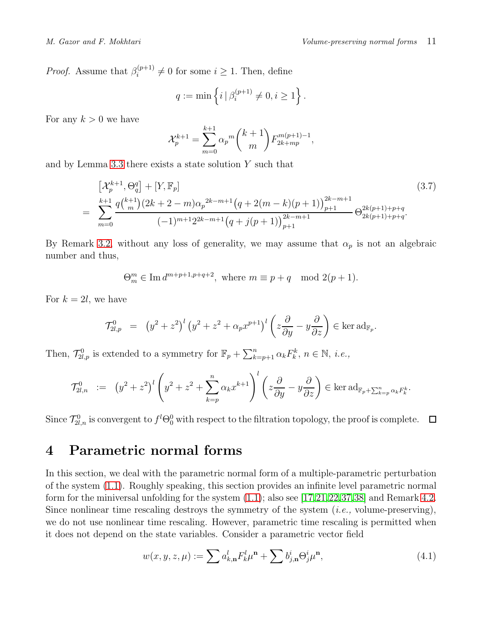*Proof.* Assume that  $\beta_i^{(p+1)}$  $i_i^{(p+1)} \neq 0$  for some  $i \geq 1$ . Then, define

$$
q:=\min\left\{i\,|\,\beta_i^{(p+1)}\neq 0, i\geq 1\right\}.
$$

For any  $k > 0$  we have

$$
\mathcal{X}_p^{k+1} = \sum_{m=0}^{k+1} \alpha_p{}^m \binom{k+1}{m} F_{2k+mp}^{m(p+1)-1},
$$

and by Lemma [3.3](#page-8-0) there exists a state solution  $Y$  such that

$$
\begin{aligned}\n &\left[\mathcal{X}_p^{k+1}, \Theta_q^q\right] + \left[Y, \mathbb{F}_p\right] \\
 &= \sum_{m=0}^{k+1} \frac{q\binom{k+1}{m}(2k+2-m)\alpha_p^{2k-m+1}\left(q+2(m-k)(p+1)\right)_{p+1}^{2k-m+1}}{( -1)^{m+1}2^{2k-m+1}\left(q+j(p+1)\right)_{p+1}^{2k-m+1}} \Theta_{2k(p+1)+p+q}^{2k(p+1)+p+q}.\n \end{aligned}\n \tag{3.7}
$$

By Remark [3.2,](#page-7-0) without any loss of generality, we may assume that  $\alpha_p$  is not an algebraic number and thus,

 $\Theta_m^m \in \text{Im } d^{m+p+1,p+q+2}$ , where  $m \equiv p+q \mod 2(p+1)$ .

For  $k = 2l$ , we have

$$
\mathcal{T}_{2l,p}^0 = (y^2 + z^2)^l (y^2 + z^2 + \alpha_p x^{p+1})^l \left( z \frac{\partial}{\partial y} - y \frac{\partial}{\partial z} \right) \in \ker \mathrm{ad}_{\mathbb{F}_p}.
$$

Then,  $\mathcal{T}_{2l,p}^0$  is extended to a symmetry for  $\mathbb{F}_p + \sum_{k=p+1}^n \alpha_k F_k^k$ ,  $n \in \mathbb{N}$ , *i.e.*,

$$
\mathcal{T}_{2l,n}^0 := (y^2 + z^2)^l \left( y^2 + z^2 + \sum_{k=p}^n \alpha_k x^{k+1} \right)^l \left( z \frac{\partial}{\partial y} - y \frac{\partial}{\partial z} \right) \in \ker \mathrm{ad}_{\mathbb{F}_p + \sum_{k=p}^n \alpha_k F_k^k}.
$$

Since  $\mathcal{T}_{2l,n}^0$  is convergent to  $f^l\Theta_0^0$  with respect to the filtration topology, the proof is complete.

## <span id="page-10-0"></span>4 Parametric normal forms

In this section, we deal with the parametric normal form of a multiple-parametric perturbation of the system [\(1.1\)](#page-2-0). Roughly speaking, this section provides an infinite level parametric normal form for the miniversal unfolding for the system [\(1.1\)](#page-2-0); also see [\[17,](#page-25-9)[21,](#page-26-6)[22,](#page-26-9)[37,](#page-27-7)[38\]](#page-27-10) and Remark [4.2.](#page-13-1) Since nonlinear time rescaling destroys the symmetry of the system  $(i.e.,$  volume-preserving), we do not use nonlinear time rescaling. However, parametric time rescaling is permitted when it does not depend on the state variables. Consider a parametric vector field

<span id="page-10-1"></span>
$$
w(x, y, z, \mu) := \sum a_{k,n}^l F_k^l \mu^n + \sum b_{j,n}^i \Theta_j^i \mu^n,
$$
\n(4.1)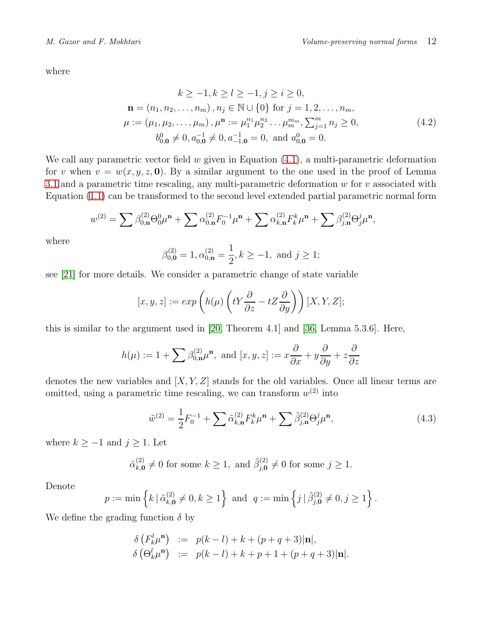where

$$
k \ge -1, k \ge l \ge -1, j \ge i \ge 0,
$$
  
\n
$$
\mathbf{n} = (n_1, n_2, \dots, n_m), n_j \in \mathbb{N} \cup \{0\} \text{ for } j = 1, 2, \dots, n_m,
$$
  
\n
$$
\mu := (\mu_1, \mu_2, \dots, \mu_m), \mu^n := \mu_1^{n_1} \mu_2^{n_2} \dots \mu_m^{m_m}, \sum_{j=1}^m n_j \ge 0,
$$
  
\n
$$
b_{0,0}^0 \ne 0, a_{0,0}^{-1} \ne 0, a_{-1,0}^{-1} = 0, \text{ and } a_{0,0}^0 = 0.
$$
\n(4.2)

We call any parametric vector field w given in Equation  $(4.1)$ , a multi-parametric deformation for v when  $v = w(x, y, z, 0)$ . By a similar argument to the one used in the proof of Lemma [3.1](#page-7-1) and a parametric time rescaling, any multi-parametric deformation  $w$  for  $v$  associated with Equation [\(1.1\)](#page-2-0) can be transformed to the second level extended partial parametric normal form

$$
w^{(2)} = \sum \beta_{0,n}^{(2)} \Theta_0^0 \mu^n + \sum \alpha_{0,n}^{(2)} F_0^{-1} \mu^n + \sum \alpha_{k,n}^{(2)} F_k^k \mu^n + \sum \beta_{j,n}^{(2)} \Theta_j^j \mu^n,
$$

where

$$
\beta_{0,\mathbf{0}}^{(2)} = 1, \alpha_{0,\mathbf{n}}^{(2)} = \frac{1}{2}, k \ge -1, \text{ and } j \ge 1;
$$

see [\[21\]](#page-26-6) for more details. We consider a parametric change of state variable

$$
[x, y, z] := exp\left(h(\mu)\left(tY\frac{\partial}{\partial z} - tZ\frac{\partial}{\partial y}\right)\right)[X, Y, Z];
$$

this is similar to the argument used in [\[20,](#page-26-1) Theorem 4.1] and [\[36,](#page-27-9) Lemma 5.3.6]. Here,

$$
h(\mu) := 1 + \sum \beta_{0,n}^{(2)} \mu^n, \text{ and } [x, y, z] := x \frac{\partial}{\partial x} + y \frac{\partial}{\partial y} + z \frac{\partial}{\partial z}
$$

denotes the new variables and  $[X, Y, Z]$  stands for the old variables. Once all linear terms are omitted, using a parametric time rescaling, we can transform  $w^{(2)}$  into

<span id="page-11-0"></span>
$$
\tilde{w}^{(2)} = \frac{1}{2} F_0^{-1} + \sum \tilde{\alpha}_{k,n}^{(2)} F_k^k \mu^n + \sum \tilde{\beta}_{j,n}^{(2)} \Theta_j^j \mu^n, \tag{4.3}
$$

where  $k \ge -1$  and  $j \ge 1$ . Let

$$
\tilde{\alpha}_{k,\mathbf{0}}^{(2)} \neq 0
$$
 for some  $k \ge 1$ , and  $\tilde{\beta}_{j,\mathbf{0}}^{(2)} \neq 0$  for some  $j \ge 1$ .

Denote

$$
p := \min \left\{ k \, | \, \tilde{\alpha}_{k, \mathbf{0}}^{(2)} \neq 0, k \ge 1 \right\} \text{ and } q := \min \left\{ j \, | \, \tilde{\beta}_{j, \mathbf{0}}^{(2)} \neq 0, j \ge 1 \right\}.
$$

We define the grading function  $\delta$  by

$$
\delta\left(F_k^l \mu^n\right) := p(k-l) + k + (p+q+3)|\mathbf{n}|,
$$
  
\n
$$
\delta\left(\Theta_k^l \mu^n\right) := p(k-l) + k + p + 1 + (p+q+3)|\mathbf{n}|.
$$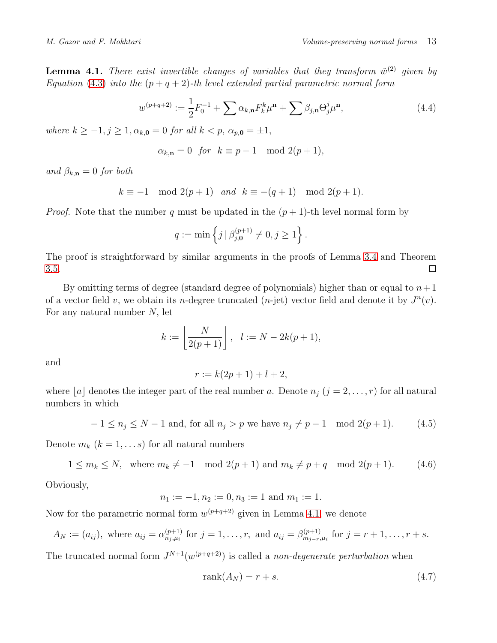<span id="page-12-2"></span>**Lemma 4.1.** There exist invertible changes of variables that they transform  $\tilde{w}^{(2)}$  given by Equation [\(4.3\)](#page-11-0) into the  $(p+q+2)$ -th level extended partial parametric normal form

<span id="page-12-3"></span>
$$
w^{(p+q+2)} := \frac{1}{2} F_0^{-1} + \sum \alpha_{k,n} F_k^k \mu^{n} + \sum \beta_{j,n} \Theta_j^j \mu^{n}, \qquad (4.4)
$$

where  $k \geq -1, j \geq 1, \alpha_{k,0} = 0$  for all  $k < p$ ,  $\alpha_{p,0} = \pm 1$ ,

$$
\alpha_{k,n} = 0 \text{ for } k \equiv p-1 \mod 2(p+1),
$$

and  $\beta_{k,n} = 0$  for both

$$
k \equiv -1 \mod 2(p+1) \quad and \quad k \equiv -(q+1) \mod 2(p+1).
$$

*Proof.* Note that the number q must be updated in the  $(p + 1)$ -th level normal form by

$$
q := \min \left\{ j \, | \, \beta_{j,0}^{(p+1)} \neq 0, j \geq 1 \right\}.
$$

The proof is straightforward by similar arguments in the proofs of Lemma [3.4](#page-8-1) and Theorem [3.5.](#page-9-0)  $\Box$ 

By omitting terms of degree (standard degree of polynomials) higher than or equal to  $n+1$ of a vector field v, we obtain its n-degree truncated (n-jet) vector field and denote it by  $J^n(v)$ . For any natural number N, let

$$
k := \left\lfloor \frac{N}{2(p+1)} \right\rfloor, \quad l := N - 2k(p+1),
$$

and

$$
r := k(2p+1) + l + 2,
$$

where  $[a]$  denotes the integer part of the real number a. Denote  $n_j$   $(j = 2, \ldots, r)$  for all natural numbers in which

<span id="page-12-0"></span>
$$
-1 \le n_j \le N - 1
$$
 and, for all  $n_j > p$  we have  $n_j \ne p - 1 \mod 2(p+1)$ . (4.5)

Denote  $m_k$   $(k = 1, \ldots s)$  for all natural numbers

<span id="page-12-1"></span>
$$
1 \le m_k \le N, \text{ where } m_k \neq -1 \mod 2(p+1) \text{ and } m_k \neq p+q \mod 2(p+1). \tag{4.6}
$$

Obviously,

$$
n_1 := -1, n_2 := 0, n_3 := 1 \text{ and } m_1 := 1.
$$

Now for the parametric normal form  $w^{(p+q+2)}$  given in Lemma [4.1,](#page-12-2) we denote

$$
A_N := (a_{ij})
$$
, where  $a_{ij} = \alpha_{n_j,\mu_i}^{(p+1)}$  for  $j = 1, ..., r$ , and  $a_{ij} = \beta_{m_{j-r},\mu_i}^{(p+1)}$  for  $j = r + 1, ..., r + s$ .

The truncated normal form  $J^{N+1}(w^{(p+q+2)})$  is called a non-degenerate perturbation when

<span id="page-12-4"></span>
$$
rank(A_N) = r + s. \tag{4.7}
$$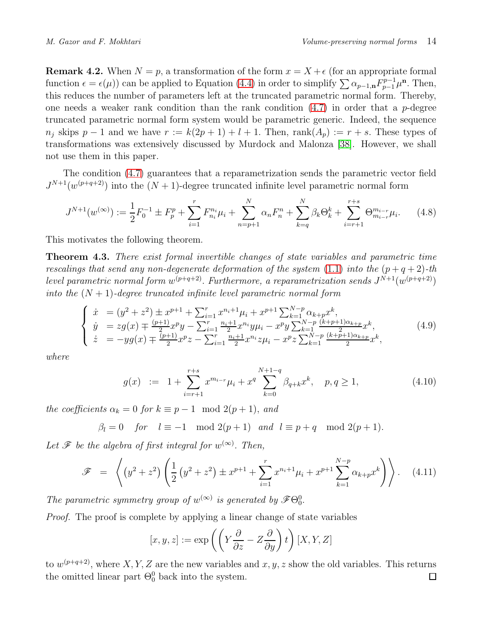<span id="page-13-1"></span>**Remark 4.2.** When  $N = p$ , a transformation of the form  $x = X + \epsilon$  (for an appropriate formal function  $\epsilon = \epsilon(\mu)$  can be applied to Equation [\(4.4\)](#page-12-3) in order to simplify  $\sum \alpha_{p-1,n} F_{p-1}^{p-1} \mu^n$ . Then, this reduces the number of parameters left at the truncated parametric normal form. Thereby, one needs a weaker rank condition than the rank condition  $(4.7)$  in order that a p-degree truncated parametric normal form system would be parametric generic. Indeed, the sequence  $n_j$  skips  $p-1$  and we have  $r := k(2p+1) + l + 1$ . Then, rank $(A_p) := r + s$ . These types of transformations was extensively discussed by Murdock and Malonza [\[38\]](#page-27-10). However, we shall not use them in this paper.

The condition [\(4.7\)](#page-12-4) guarantees that a reparametrization sends the parametric vector field  $J^{N+1}(w^{(p+q+2)})$  into the  $(N+1)$ -degree truncated infinite level parametric normal form

$$
J^{N+1}(w^{(\infty)}) := \frac{1}{2}F_0^{-1} \pm F_p^p + \sum_{i=1}^r F_{n_i}^{n_i} \mu_i + \sum_{n=p+1}^N \alpha_n F_n^n + \sum_{k=q}^N \beta_k \Theta_k^k + \sum_{i=r+1}^{r+s} \Theta_{m_{i-r}}^{m_{i-r}} \mu_i. \tag{4.8}
$$

This motivates the following theorem.

<span id="page-13-0"></span>Theorem 4.3. There exist formal invertible changes of state variables and parametric time rescalings that send any non-degenerate deformation of the system [\(1.1\)](#page-2-0) into the  $(p+q+2)$ -th level parametric normal form  $w^{(p+q+2)}$ . Furthermore, a reparametrization sends  $J^{N+1}(w^{(p+q+2)})$ into the  $(N + 1)$ -degree truncated infinite level parametric normal form

$$
\begin{cases}\n\dot{x} = (y^2 + z^2) \pm x^{p+1} + \sum_{i=1}^r x^{n_i+1} \mu_i + x^{p+1} \sum_{k=1}^{N-p} \alpha_{k+p} x^k, \\
\dot{y} = zg(x) \mp \frac{(p+1)}{2} x^p y - \sum_{i=1}^r \frac{n_i+1}{2} x^{n_i} y \mu_i - x^p y \sum_{k=1}^{N-p} \frac{(k+p+1)\alpha_{k+p}}{2} x^k, \\
\dot{z} = -yg(x) \mp \frac{(p+1)}{2} x^p z - \sum_{i=1}^r \frac{n_i+1}{2} x^{n_i} z \mu_i - x^p z \sum_{k=1}^{N-p} \frac{(k+p+1)\alpha_{k+p}}{2} x^k,\n\end{cases} (4.9)
$$

where

$$
g(x) := 1 + \sum_{i=r+1}^{r+s} x^{m_{i-r}} \mu_i + x^q \sum_{k=0}^{N+1-q} \beta_{q+k} x^k, \quad p, q \ge 1,
$$
 (4.10)

the coefficients  $\alpha_k = 0$  for  $k \equiv p-1 \mod 2(p+1)$ , and

$$
\beta_l = 0 \quad \text{for} \quad l \equiv -1 \mod 2(p+1) \quad \text{and} \quad l \equiv p+q \mod 2(p+1).
$$

Let  $\mathscr F$  be the algebra of first integral for  $w^{(\infty)}$ . Then,

$$
\mathcal{F} = \left\langle \left( y^2 + z^2 \right) \left( \frac{1}{2} \left( y^2 + z^2 \right) \pm x^{p+1} + \sum_{i=1}^r x^{n_i+1} \mu_i + x^{p+1} \sum_{k=1}^{N-p} \alpha_{k+p} x^k \right) \right\rangle. \tag{4.11}
$$

The parametric symmetry group of  $w^{(\infty)}$  is generated by  $\mathscr{F}\Theta_{0}^{0}$ .

Proof. The proof is complete by applying a linear change of state variables

$$
[x, y, z] := \exp\left(\left(Y\frac{\partial}{\partial z} - Z\frac{\partial}{\partial y}\right)t\right)[X, Y, Z]
$$

to  $w^{(p+q+2)}$ , where X, Y, Z are the new variables and  $x, y, z$  show the old variables. This returns the omitted linear part  $\Theta_0^0$  back into the system.  $\Box$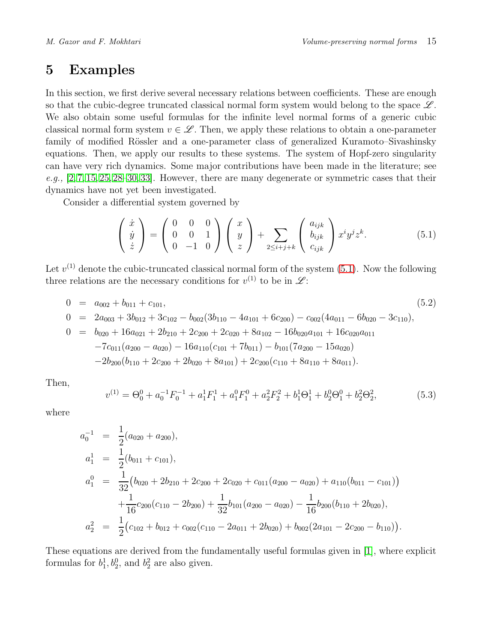# <span id="page-14-0"></span>5 Examples

In this section, we first derive several necessary relations between coefficients. These are enough so that the cubic-degree truncated classical normal form system would belong to the space  $\mathscr{L}$ . We also obtain some useful formulas for the infinite level normal forms of a generic cubic classical normal form system  $v \in \mathcal{L}$ . Then, we apply these relations to obtain a one-parameter family of modified Rössler and a one-parameter class of generalized Kuramoto–Sivashinsky equations. Then, we apply our results to these systems. The system of Hopf-zero singularity can have very rich dynamics. Some major contributions have been made in the literature; see  $e.g., [2, 7, 15, 25, 28–30, 33].$  $e.g., [2, 7, 15, 25, 28–30, 33].$  $e.g., [2, 7, 15, 25, 28–30, 33].$  $e.g., [2, 7, 15, 25, 28–30, 33].$  $e.g., [2, 7, 15, 25, 28–30, 33].$  $e.g., [2, 7, 15, 25, 28–30, 33].$  $e.g., [2, 7, 15, 25, 28–30, 33].$  $e.g., [2, 7, 15, 25, 28–30, 33].$  $e.g., [2, 7, 15, 25, 28–30, 33].$  However, there are many degenerate or symmetric cases that their dynamics have not yet been investigated.

Consider a differential system governed by

<span id="page-14-1"></span>
$$
\begin{pmatrix}\n\dot{x} \\
\dot{y} \\
\dot{z}\n\end{pmatrix} = \begin{pmatrix}\n0 & 0 & 0 \\
0 & 0 & 1 \\
0 & -1 & 0\n\end{pmatrix} \begin{pmatrix}\nx \\
y \\
z\n\end{pmatrix} + \sum_{2 \leq i+j+k} \begin{pmatrix}\na_{ijk} \\
b_{ijk} \\
c_{ijk}\n\end{pmatrix} x^i y^j z^k.
$$
\n(5.1)

Let  $v^{(1)}$  denote the cubic-truncated classical normal form of the system  $(5.1)$ . Now the following three relations are the necessary conditions for  $v^{(1)}$  to be in  $\mathscr{L}$ :

$$
0 = a_{002} + b_{011} + c_{101},
$$
\n
$$
0 = 2a_{003} + 3b_{012} + 3c_{102} - b_{002}(3b_{110} - 4a_{101} + 6c_{200}) - c_{002}(4a_{011} - 6b_{020} - 3c_{110}),
$$
\n
$$
0 = b_{020} + 16a_{021} + 2b_{210} + 2c_{200} + 2c_{020} + 8a_{102} - 16b_{020}a_{101} + 16c_{020}a_{011}
$$
\n
$$
-7c_{011}(a_{200} - a_{020}) - 16a_{110}(c_{101} + 7b_{011}) - b_{101}(7a_{200} - 15a_{020})
$$
\n
$$
-2b_{200}(b_{110} + 2c_{200} + 2b_{020} + 8a_{101}) + 2c_{200}(c_{110} + 8a_{110} + 8a_{011}).
$$
\n
$$
(5.2)
$$

Then,

$$
v^{(1)} = \Theta_0^0 + a_0^{-1} F_0^{-1} + a_1^1 F_1^1 + a_1^0 F_1^0 + a_2^2 F_2^2 + b_1^1 \Theta_1^1 + b_2^0 \Theta_1^0 + b_2^2 \Theta_2^2,
$$
\n(5.3)

where

$$
a_0^{-1} = \frac{1}{2}(a_{020} + a_{200}),
$$
  
\n
$$
a_1^{1} = \frac{1}{2}(b_{011} + c_{101}),
$$
  
\n
$$
a_1^{0} = \frac{1}{32}(b_{020} + 2b_{210} + 2c_{200} + 2c_{020} + c_{011}(a_{200} - a_{020}) + a_{110}(b_{011} - c_{101}))
$$
  
\n
$$
+ \frac{1}{16}c_{200}(c_{110} - 2b_{200}) + \frac{1}{32}b_{101}(a_{200} - a_{020}) - \frac{1}{16}b_{200}(b_{110} + 2b_{020}),
$$
  
\n
$$
a_2^{2} = \frac{1}{2}(c_{102} + b_{012} + c_{002}(c_{110} - 2a_{011} + 2b_{020}) + b_{002}(2a_{101} - 2c_{200} - b_{110})).
$$

These equations are derived from the fundamentally useful formulas given in [\[1\]](#page-24-2), where explicit formulas for  $b_1^1, b_2^0$ , and  $b_2^2$  are also given.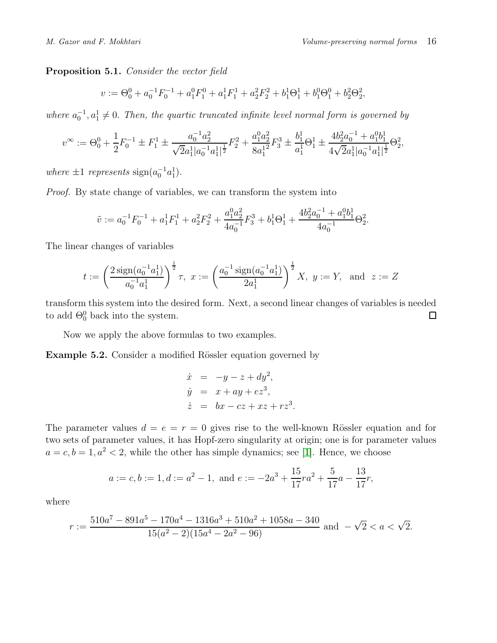<span id="page-15-1"></span>Proposition 5.1. Consider the vector field

$$
v := \Theta_0^0 + a_0^{-1} F_0^{-1} + a_1^0 F_1^0 + a_1^1 F_1^1 + a_2^2 F_2^2 + b_1^1 \Theta_1^1 + b_1^0 \Theta_1^0 + b_2^2 \Theta_2^2,
$$

where  $a_0^{-1}, a_1^1 \neq 0$ . Then, the quartic truncated infinite level normal form is governed by

$$
v^{\infty} := \Theta_0^0 + \frac{1}{2} F_0^{-1} \pm F_1^1 \pm \frac{a_0^{-1} a_2^2}{\sqrt{2} a_1^1 |a_0^{-1} a_1^1|^{\frac{1}{2}}} F_2^2 + \frac{a_1^0 a_2^2}{8 a_1^{12}} F_3^3 \pm \frac{b_1^1}{a_1^1} \Theta_1^1 \pm \frac{4 b_2^2 a_0^{-1} + a_1^0 b_1^1}{4 \sqrt{2} a_1^1 |a_0^{-1} a_1^1|^{\frac{1}{2}}} \Theta_2^2,
$$

where  $\pm 1$  represents  $sign(a_0^{-1}a_1^1)$ .

Proof. By state change of variables, we can transform the system into

$$
\tilde{v} := a_0^{-1} F_0^{-1} + a_1^1 F_1^1 + a_2^2 F_2^2 + \frac{a_1^0 a_2^2}{4a_0^{-1}} F_3^3 + b_1^1 \Theta_1^1 + \frac{4b_2^2 a_0^{-1} + a_1^0 b_1^1}{4a_0^{-1}} \Theta_2^2.
$$

The linear changes of variables

$$
t := \left(\frac{2\operatorname{sign}(a_0^{-1}a_1^1)}{a_0^{-1}a_1^1}\right)^{\frac{1}{2}}\tau, \ x := \left(\frac{a_0^{-1}\operatorname{sign}(a_0^{-1}a_1^1)}{2a_1^1}\right)^{\frac{1}{2}}X, \ y := Y, \text{ and } z := Z
$$

transform this system into the desired form. Next, a second linear changes of variables is needed to add  $\Theta_0^0$  back into the system.  $\Box$ 

Now we apply the above formulas to two examples.

<span id="page-15-0"></span>Example 5.2. Consider a modified Rössler equation governed by

$$
\dot{x} = -y - z + dy^2,
$$
  
\n
$$
\dot{y} = x + ay + ez^3,
$$
  
\n
$$
\dot{z} = bx - cz + xz + rz^3.
$$

The parameter values  $d = e = r = 0$  gives rise to the well-known Rössler equation and for two sets of parameter values, it has Hopf-zero singularity at origin; one is for parameter values  $a = c, b = 1, a<sup>2</sup> < 2$ , while the other has simple dynamics; see [\[1\]](#page-24-2). Hence, we choose

$$
a := c, b := 1, d := a2 - 1
$$
, and  $e := -2a3 + \frac{15}{17}ra2 + \frac{5}{17}a - \frac{13}{17}r$ ,

where

$$
r := \frac{510a^7 - 891a^5 - 170a^4 - 1316a^3 + 510a^2 + 1058a - 340}{15(a^2 - 2)(15a^4 - 2a^2 - 96)} \text{ and } -\sqrt{2} < a < \sqrt{2}.
$$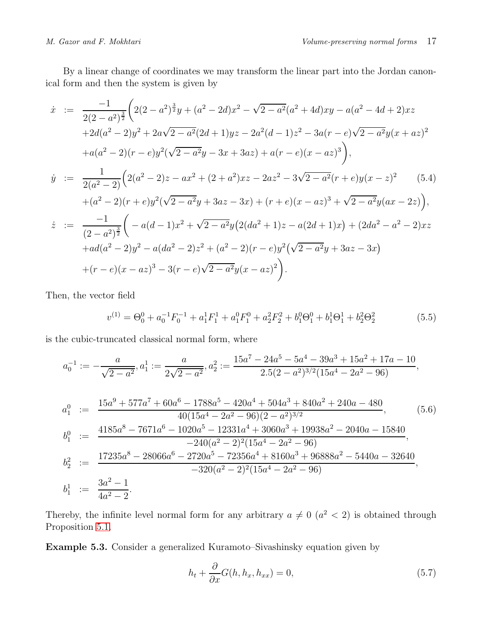By a linear change of coordinates we may transform the linear part into the Jordan canonical form and then the system is given by

<span id="page-16-1"></span>
$$
\begin{split}\n\dot{x} &:= \frac{-1}{2(2-a^2)^{\frac{3}{2}}} \bigg( 2(2-a^2)^{\frac{3}{2}} y + (a^2 - 2d)x^2 - \sqrt{2-a^2}(a^2 + 4d)xy - a(a^2 - 4d + 2)xz \\
&+ 2d(a^2 - 2)y^2 + 2a\sqrt{2-a^2}(2d + 1)yz - 2a^2(d - 1)z^2 - 3a(r - e)\sqrt{2-a^2}y(x + az)^2 \\
&+ a(a^2 - 2)(r - e)y^2(\sqrt{2-a^2}y - 3x + 3az) + a(r - e)(x - az)^3 \bigg), \\
\dot{y} &:= \frac{1}{2(a^2 - 2)} \bigg( 2(a^2 - 2)z - ax^2 + (2 + a^2)xz - 2az^2 - 3\sqrt{2-a^2}(r + e)y(x - z)^2 \bigg) \\
&\quad + (a^2 - 2)(r + e)y^2(\sqrt{2-a^2}y + 3az - 3x) + (r + e)(x - az)^3 + \sqrt{2-a^2}y(ax - 2z) \bigg), \\
\dot{z} &:= \frac{-1}{(2-a^2)^{\frac{3}{2}}} \bigg( -a(d - 1)x^2 + \sqrt{2-a^2}y\big(2(da^2 + 1)z - a(2d + 1)x\big) + (2da^2 - a^2 - 2)xz \\
&\quad + ad(a^2 - 2)y^2 - a(da^2 - 2)z^2 + (a^2 - 2)(r - e)y^2(\sqrt{2-a^2}y + 3az - 3x) \\
&\quad + (r - e)(x - az)^3 - 3(r - e)\sqrt{2-a^2}y(x - az)^2 \bigg).\n\end{split}
$$

Then, the vector field

<span id="page-16-2"></span>
$$
v^{(1)} = \Theta_0^0 + a_0^{-1} F_0^{-1} + a_1^1 F_1^1 + a_1^0 F_1^0 + a_2^2 F_2^2 + b_1^0 \Theta_1^0 + b_1^1 \Theta_1^1 + b_2^2 \Theta_2^2 \tag{5.5}
$$

is the cubic-truncated classical normal form, where

<span id="page-16-3"></span>
$$
a_0^{-1} := -\frac{a}{\sqrt{2 - a^2}}, a_1^1 := \frac{a}{2\sqrt{2 - a^2}}, a_2^2 := \frac{15a^7 - 24a^5 - 5a^4 - 39a^3 + 15a^2 + 17a - 10}{2.5(2 - a^2)^{3/2}(15a^4 - 2a^2 - 96)},
$$
  
\n
$$
a_1^0 := \frac{15a^9 + 577a^7 + 60a^6 - 1788a^5 - 420a^4 + 504a^3 + 840a^2 + 240a - 480}{40(15a^4 - 2a^2 - 96)(2 - a^2)^{3/2}},
$$
  
\n
$$
b_1^0 := \frac{4185a^8 - 7671a^6 - 1020a^5 - 12331a^4 + 3060a^3 + 19938a^2 - 2040a - 15840}{-240(a^2 - 2)^2(15a^4 - 2a^2 - 96)},
$$
  
\n
$$
b_2^2 := \frac{17235a^8 - 28066a^6 - 2720a^5 - 72356a^4 + 8160a^3 + 96888a^2 - 5440a - 32640}{-320(a^2 - 2)^2(15a^4 - 2a^2 - 96)},
$$
  
\n
$$
b_1^1 := \frac{3a^2 - 1}{4a^2 - 2}.
$$
  
\n(5.6)

Thereby, the infinite level normal form for any arbitrary  $a \neq 0$   $(a<sup>2</sup> < 2)$  is obtained through Proposition [5.1.](#page-15-1)

<span id="page-16-0"></span>Example 5.3. Consider a generalized Kuramoto–Sivashinsky equation given by

$$
h_t + \frac{\partial}{\partial x} G(h, h_x, h_{xx}) = 0,
$$
\n(5.7)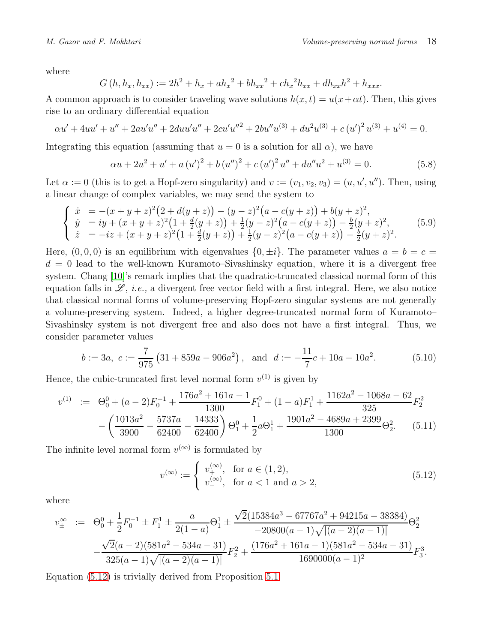where

$$
G(h, h_x, h_{xx}) := 2h^2 + h_x + ah_x^2 + bh_{xx}^2 + ch_x^2h_{xx} + dh_{xx}h^2 + h_{xxx}.
$$

A common approach is to consider traveling wave solutions  $h(x, t) = u(x + \alpha t)$ . Then, this gives rise to an ordinary differential equation

$$
\alpha u' + 4uu' + u'' + 2au'u'' + 2duu'u'' + 2cu'u''^2 + 2bu''u^{(3)} + du^2u^{(3)} + c(u')^2u^{(3)} + u^{(4)} = 0.
$$

Integrating this equation (assuming that  $u = 0$  is a solution for all  $\alpha$ ), we have

$$
\alpha u + 2u^2 + u' + a(u')^2 + b(u'')^2 + c(u')^2 u'' + du''u^2 + u^{(3)} = 0.
$$
 (5.8)

Let  $\alpha := 0$  (this is to get a Hopf-zero singularity) and  $v := (v_1, v_2, v_3) = (u, u', u'')$ . Then, using a linear change of complex variables, we may send the system to

<span id="page-17-1"></span>
$$
\begin{cases}\n\dot{x} = -(x+y+z)^2(2+d(y+z)) - (y-z)^2(a-c(y+z)) + b(y+z)^2, \\
\dot{y} = iy + (x+y+z)^2(1+\frac{d}{2}(y+z)) + \frac{1}{2}(y-z)^2(a-c(y+z)) - \frac{b}{2}(y+z)^2, \\
\dot{z} = -iz + (x+y+z)^2(1+\frac{d}{2}(y+z)) + \frac{1}{2}(y-z)^2(a-c(y+z)) - \frac{b}{2}(y+z)^2.\n\end{cases}
$$
\n(5.9)

Here,  $(0, 0, 0)$  is an equilibrium with eigenvalues  $\{0, \pm i\}$ . The parameter values  $a = b = c$  $d = 0$  lead to the well-known Kuramoto–Sivashinsky equation, where it is a divergent free system. Chang [\[10\]](#page-25-13)'s remark implies that the quadratic-truncated classical normal form of this equation falls in  $\mathscr{L}$ , *i.e.*, a divergent free vector field with a first integral. Here, we also notice that classical normal forms of volume-preserving Hopf-zero singular systems are not generally a volume-preserving system. Indeed, a higher degree-truncated normal form of Kuramoto– Sivashinsky system is not divergent free and also does not have a first integral. Thus, we consider parameter values

$$
b := 3a, \ c := \frac{7}{975} \left( 31 + 859a - 906a^2 \right), \text{ and } d := -\frac{11}{7}c + 10a - 10a^2. \tag{5.10}
$$

Hence, the cubic-truncated first level normal form  $v^{(1)}$  is given by

<span id="page-17-2"></span>
$$
v^{(1)} := \Theta_0^0 + (a-2)F_0^{-1} + \frac{176a^2 + 161a - 1}{1300}F_1^0 + (1-a)F_1^1 + \frac{1162a^2 - 1068a - 62}{325}F_2^2 - \left(\frac{1013a^2}{3900} - \frac{5737a}{62400} - \frac{14333}{62400}\right)\Theta_1^0 + \frac{1}{2}a\Theta_1^1 + \frac{1901a^2 - 4689a + 2399}{1300}\Theta_2^2.
$$
 (5.11)

The infinite level normal form  $v^{(\infty)}$  is formulated by

<span id="page-17-0"></span>
$$
v^{(\infty)} := \begin{cases} v_+^{(\infty)}, & \text{for } a \in (1, 2), \\ v_-^{(\infty)}, & \text{for } a < 1 \text{ and } a > 2, \end{cases}
$$
 (5.12)

where

$$
v_{\pm}^{\infty} := \Theta_0^0 + \frac{1}{2} F_0^{-1} \pm F_1^1 \pm \frac{a}{2(1-a)} \Theta_1^1 \pm \frac{\sqrt{2}(15384a^3 - 67767a^2 + 94215a - 38384)}{-20800(a-1)\sqrt{|(a-2)(a-1)|}} \Theta_2^2
$$
  

$$
-\frac{\sqrt{2}(a-2)(581a^2 - 534a - 31)}{325(a-1)\sqrt{|(a-2)(a-1)|}} F_2^2 + \frac{(176a^2 + 161a - 1)(581a^2 - 534a - 31)}{1690000(a-1)^2} F_3^3.
$$

Equation [\(5.12\)](#page-17-0) is trivially derived from Proposition [5.1.](#page-15-1)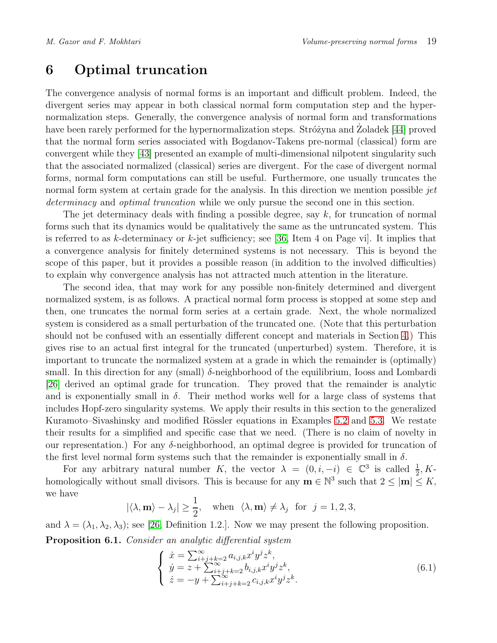# <span id="page-18-0"></span>6 Optimal truncation

The convergence analysis of normal forms is an important and difficult problem. Indeed, the divergent series may appear in both classical normal form computation step and the hypernormalization steps. Generally, the convergence analysis of normal form and transformations have been rarely performed for the hypernormalization steps. Stróżyna and Zoladek [\[44\]](#page-27-11) proved that the normal form series associated with Bogdanov-Takens pre-normal (classical) form are convergent while they [\[43\]](#page-27-12) presented an example of multi-dimensional nilpotent singularity such that the associated normalized (classical) series are divergent. For the case of divergent normal forms, normal form computations can still be useful. Furthermore, one usually truncates the normal form system at certain grade for the analysis. In this direction we mention possible *jet* determinacy and *optimal truncation* while we only pursue the second one in this section.

The jet determinacy deals with finding a possible degree, say  $k$ , for truncation of normal forms such that its dynamics would be qualitatively the same as the untruncated system. This is referred to as k-determinacy or  $k$ -jet sufficiency; see [\[36,](#page-27-9) Item 4 on Page vi]. It implies that a convergence analysis for finitely determined systems is not necessary. This is beyond the scope of this paper, but it provides a possible reason (in addition to the involved difficulties) to explain why convergence analysis has not attracted much attention in the literature.

The second idea, that may work for any possible non-finitely determined and divergent normalized system, is as follows. A practical normal form process is stopped at some step and then, one truncates the normal form series at a certain grade. Next, the whole normalized system is considered as a small perturbation of the truncated one. (Note that this perturbation should not be confused with an essentially different concept and materials in Section [4.](#page-10-0)) This gives rise to an actual first integral for the truncated (unperturbed) system. Therefore, it is important to truncate the normalized system at a grade in which the remainder is (optimally) small. In this direction for any (small)  $\delta$ -neighborhood of the equilibrium, Iooss and Lombardi [\[26\]](#page-26-4) derived an optimal grade for truncation. They proved that the remainder is analytic and is exponentially small in  $\delta$ . Their method works well for a large class of systems that includes Hopf-zero singularity systems. We apply their results in this section to the generalized Kuramoto–Sivashinsky and modified Rössler equations in Examples [5.2](#page-15-0) and [5.3.](#page-16-0) We restate their results for a simplified and specific case that we need. (There is no claim of novelty in our representation.) For any  $\delta$ -neighborhood, an optimal degree is provided for truncation of the first level normal form systems such that the remainder is exponentially small in  $\delta$ .

For any arbitrary natural number K, the vector  $\lambda = (0, i, -i) \in \mathbb{C}^3$  is called  $\frac{1}{2}$ , Khomologically without small divisors. This is because for any  $\mathbf{m} \in \mathbb{N}^3$  such that  $2 \leq |\mathbf{m}| \leq K$ , we have

$$
|\langle \lambda, \mathbf{m} \rangle - \lambda_j| \ge \frac{1}{2}
$$
, when  $\langle \lambda, \mathbf{m} \rangle \ne \lambda_j$  for  $j = 1, 2, 3$ ,

<span id="page-18-2"></span>and  $\lambda = (\lambda_1, \lambda_2, \lambda_3)$ ; see [\[26,](#page-26-4) Definition 1.2.]. Now we may present the following proposition. Proposition 6.1. Consider an analytic differential system

<span id="page-18-1"></span>
$$
\begin{cases}\n\dot{x} = \sum_{i+j+k=2}^{\infty} a_{i,j,k} x^i y^j z^k, \n\dot{y} = z + \sum_{i+j+k=2}^{\infty} b_{i,j,k} x^i y^j z^k, \n\dot{z} = -y + \sum_{i+j+k=2}^{\infty} c_{i,j,k} x^i y^j z^k.\n\end{cases}
$$
\n(6.1)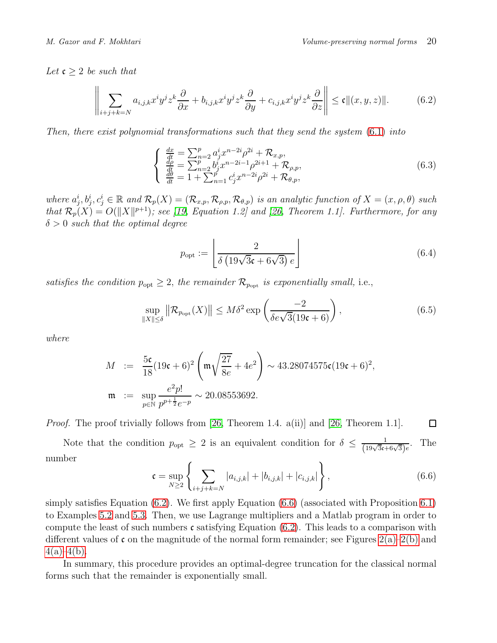Let  $\mathfrak{c} \geq 2$  be such that

<span id="page-19-0"></span>
$$
\left\| \sum_{i+j+k=N} a_{i,j,k} x^i y^j z^k \frac{\partial}{\partial x} + b_{i,j,k} x^i y^j z^k \frac{\partial}{\partial y} + c_{i,j,k} x^i y^j z^k \frac{\partial}{\partial z} \right\| \le \mathfrak{c} \| (x, y, z) \|.
$$
 (6.2)

Then, there exist polynomial transformations such that they send the system [\(6.1\)](#page-18-1) into

$$
\begin{cases}\n\frac{dx}{dt} = \sum_{n=2}^{p} a_j^i x^{n-2i} \rho^{2i} + \mathcal{R}_{x,p}, \n\frac{d\rho}{dt} = \sum_{n=2}^{p} b_j^i x^{n-2i-1} \rho^{2i+1} + \mathcal{R}_{\rho,p}, \n\frac{d\theta}{dt} = 1 + \sum_{n=1}^{p} c_j^i x^{n-2i} \rho^{2i} + \mathcal{R}_{\theta,p},\n\end{cases} (6.3)
$$

where  $a_j^i, b_j^i, c_j^i \in \mathbb{R}$  and  $\mathcal{R}_p(X) = (\mathcal{R}_{x,p}, \mathcal{R}_{\rho,p}, \mathcal{R}_{\theta,p})$  is an analytic function of  $X = (x, \rho, \theta)$  such that  $\mathcal{R}_p(X) = O(||X||^{p+1})$ ; see [\[19,](#page-26-0) Equation 1.2] and [\[26,](#page-26-4) Theorem 1.1]. Furthermore, for any  $\delta > 0$  such that the optimal degree

$$
p_{\rm opt} := \left[ \frac{2}{\delta \left( 19\sqrt{3}\mathfrak{c} + 6\sqrt{3} \right) e} \right] \tag{6.4}
$$

satisfies the condition  $p_{opt} \geq 2$ , the remainder  $\mathcal{R}_{p_{opt}}$  is exponentially small, i.e.,

<span id="page-19-2"></span>
$$
\sup_{\|X\| \le \delta} \|\mathcal{R}_{p_{\text{opt}}}(X)\| \le M\delta^2 \exp\left(\frac{-2}{\delta e\sqrt{3}(19\mathfrak{c} + 6)}\right),\tag{6.5}
$$

where

$$
M := \frac{5\mathfrak{c}}{18}(19\mathfrak{c} + 6)^2 \left(\mathfrak{m}\sqrt{\frac{27}{8e}} + 4e^2\right) \sim 43.28074575\mathfrak{c}(19\mathfrak{c} + 6)^2,
$$
  

$$
\mathfrak{m} := \sup_{p \in \mathbb{N}} \frac{e^2p!}{p^{p+\frac{1}{2}}e^{-p}} \sim 20.08553692.
$$

*Proof.* The proof trivially follows from [\[26,](#page-26-4) Theorem 1.4. a(ii)] and [26, Theorem 1.1].  $\Box$ 

Note that the condition  $p_{opt} \geq 2$  is an equivalent condition for  $\delta \leq \frac{1}{(19\sqrt{3}c+6\sqrt{3})e}$ . The number

<span id="page-19-1"></span>
$$
\mathfrak{c} = \sup_{N \geq 2} \left\{ \sum_{i+j+k=N} |a_{i,j,k}| + |b_{i,j,k}| + |c_{i,j,k}| \right\},\tag{6.6}
$$

simply satisfies Equation [\(6.2\)](#page-19-0). We first apply Equation [\(6.6\)](#page-19-1) (associated with Proposition [6.1\)](#page-18-2) to Examples [5.2](#page-15-0) and [5.3.](#page-16-0) Then, we use Lagrange multipliers and a Matlab program in order to compute the least of such numbers  $\mathfrak c$  satisfying Equation [\(6.2\)](#page-19-0). This leads to a comparison with different values of c on the magnitude of the normal form remainder; see Figures  $2(a)-2(b)$  and  $4(a) - 4(b)$ .

In summary, this procedure provides an optimal-degree truncation for the classical normal forms such that the remainder is exponentially small.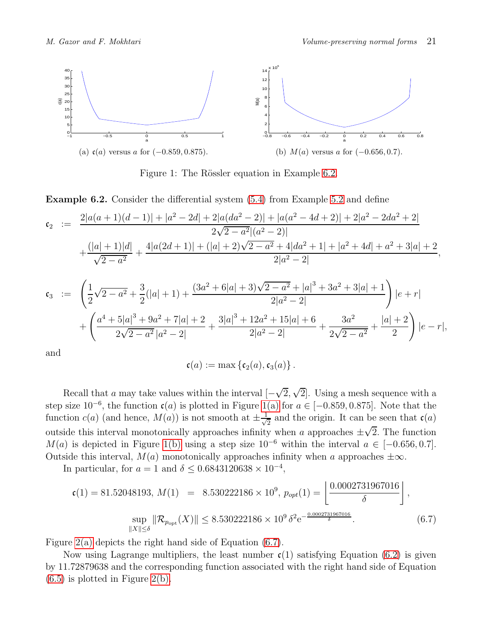<span id="page-20-1"></span>

<span id="page-20-2"></span>Figure 1: The Rössler equation in Example [6.2.](#page-20-0)

<span id="page-20-0"></span>Example 6.2. Consider the differential system [\(5.4\)](#page-16-1) from Example [5.2](#page-15-0) and define

$$
\mathfrak{c}_2 \ := \ \frac{2|a(a+1)(d-1)|+|a^2-2d|+2|a(da^2-2)|+|a(a^2-4d+2)|+2|a^2-2da^2+2|}{2\sqrt{2-a^2}|(a^2-2)|} \\ \qquad \qquad + \frac{(|a|+1)|d|}{\sqrt{2-a^2}} + \frac{4|a(2d+1)|+(|a|+2)\sqrt{2-a^2}+4|da^2+1|+|a^2+4d|+a^2+3|a|+2}{2|a^2-2|},
$$

$$
\mathfrak{c}_3 \quad := \quad \left( \frac{1}{2} \sqrt{2 - a^2} + \frac{3}{2} (|a| + 1) + \frac{(3a^2 + 6|a| + 3)\sqrt{2 - a^2} + |a|^3 + 3a^2 + 3|a| + 1}{2|a^2 - 2|} \right) |e + r|
$$
\n
$$
+ \left( \frac{a^4 + 5|a|^3 + 9a^2 + 7|a| + 2}{2\sqrt{2 - a^2}|a^2 - 2|} + \frac{3|a|^3 + 12a^2 + 15|a| + 6}{2|a^2 - 2|} + \frac{3a^2}{2\sqrt{2 - a^2}} + \frac{|a| + 2}{2} \right) |e - r|,
$$

and

$$
\mathfrak{c}(a) := \max \left\{ \mathfrak{c}_2(a), \mathfrak{c}_3(a) \right\}.
$$

Recall that a may take values within the interval  $[-\sqrt{2}, \sqrt{2}]$ . Using a mesh sequence with a step size  $10^{-6}$ , the function  $c(a)$  is plotted in Figure [1\(a\)](#page-20-1) for  $a \in [-0.859, 0.875]$ . Note that the function  $c(a)$  (and hence,  $M(a)$ ) is not smooth at  $\pm \frac{1}{\sqrt{a}}$  $\frac{1}{2}$  and the origin. It can be seen that  $\mathfrak{c}(a)$ outside this interval monotonically approaches infinity when a approaches  $\pm\sqrt{2}$ . The function  $M(a)$  is depicted in Figure [1\(b\)](#page-20-2) using a step size  $10^{-6}$  within the interval  $a \in [-0.656, 0.7]$ . Outside this interval,  $M(a)$  monotonically approaches infinity when a approaches  $\pm \infty$ .

In particular, for  $a = 1$  and  $\delta \leq 0.6843120638 \times 10^{-4}$ ,

<span id="page-20-3"></span>
$$
\mathfrak{c}(1) = 81.52048193, \ M(1) = 8.530222186 \times 10^9, \ p_{opt}(1) = \left[ \frac{0.0002731967016}{\delta} \right],
$$
  
\n
$$
\sup_{\|X\| \le \delta} \|\mathcal{R}_{p_{\text{opt}}}(X)\| \le 8.530222186 \times 10^9 \delta^2 e^{-\frac{0.0002731967016}{\delta}}.
$$
 (6.7)

Figure [2\(a\)](#page-21-1) depicts the right hand side of Equation [\(6.7\)](#page-20-3).

Now using Lagrange multipliers, the least number  $c(1)$  satisfying Equation [\(6.2\)](#page-19-0) is given by 11.72879638 and the corresponding function associated with the right hand side of Equation  $(6.5)$  is plotted in Figure [2\(b\).](#page-21-2)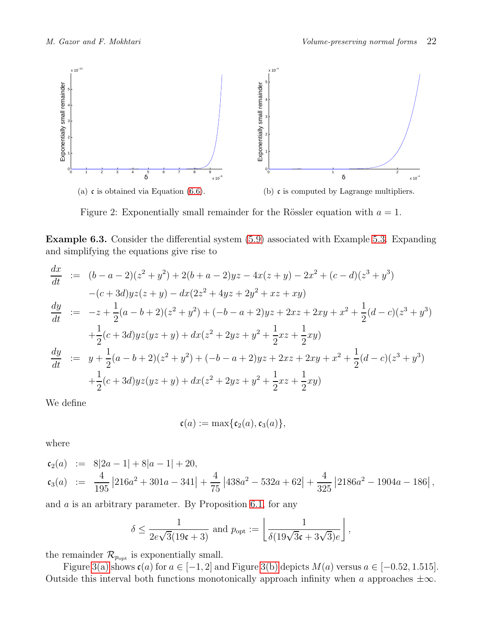<span id="page-21-1"></span>

<span id="page-21-2"></span>Figure 2: Exponentially small remainder for the Rössler equation with  $a = 1$ .

<span id="page-21-0"></span>Example 6.3. Consider the differential system [\(5.9\)](#page-17-1) associated with Example [5.3.](#page-16-0) Expanding and simplifying the equations give rise to

$$
\frac{dx}{dt} := (b - a - 2)(z^2 + y^2) + 2(b + a - 2)yz - 4x(z + y) - 2x^2 + (c - d)(z^3 + y^3)
$$
  
\n
$$
-(c + 3d)yz(z + y) - dx(2z^2 + 4yz + 2y^2 + xz + xy)
$$
  
\n
$$
\frac{dy}{dt} := -z + \frac{1}{2}(a - b + 2)(z^2 + y^2) + (-b - a + 2)yz + 2xz + 2xy + x^2 + \frac{1}{2}(d - c)(z^3 + y^3)
$$
  
\n
$$
+ \frac{1}{2}(c + 3d)yz(yz + y) + dx(z^2 + 2yz + y^2 + \frac{1}{2}xz + \frac{1}{2}xy)
$$
  
\n
$$
\frac{dy}{dt} := y + \frac{1}{2}(a - b + 2)(z^2 + y^2) + (-b - a + 2)yz + 2xz + 2xy + x^2 + \frac{1}{2}(d - c)(z^3 + y^3)
$$
  
\n
$$
+ \frac{1}{2}(c + 3d)yz(yz + y) + dx(z^2 + 2yz + y^2 + \frac{1}{2}xz + \frac{1}{2}xy)
$$

We define

$$
\mathfrak{c}(a) := \max\{\mathfrak{c}_2(a), \mathfrak{c}_3(a)\},\
$$

where

$$
\begin{aligned}\n\mathfrak{c}_2(a) &:= 8|2a-1|+8|a-1|+20, \\
\mathfrak{c}_3(a) &:= \frac{4}{195}|216a^2+301a-341| + \frac{4}{75}|438a^2-532a+62| + \frac{4}{325}|2186a^2-1904a-186| \,,\n\end{aligned}
$$

and a is an arbitrary parameter. By Proposition [6.1,](#page-18-2) for any

$$
\delta \le \frac{1}{2e\sqrt{3}(19\mathfrak{c}+3)} \text{ and } p_{\text{opt}} := \left\lfloor \frac{1}{\delta(19\sqrt{3}\mathfrak{c}+3\sqrt{3})e} \right\rfloor,
$$

the remainder  $\mathcal{R}_{p_{\text{opt}}}$  is exponentially small.

Figure [3\(a\)](#page-22-2) shows  $c(a)$  for  $a \in [-1, 2]$  and Figure [3\(b\)](#page-22-3) depicts  $M(a)$  versus  $a \in [-0.52, 1.515]$ . Outside this interval both functions monotonically approach infinity when a approaches  $\pm \infty$ .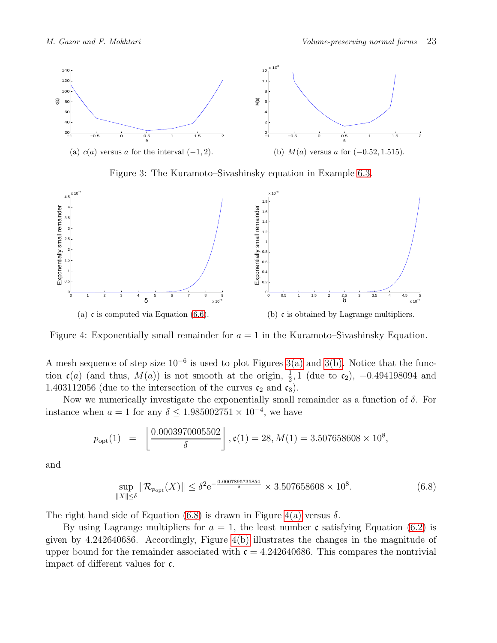<span id="page-22-2"></span>

<span id="page-22-3"></span><span id="page-22-1"></span>Figure 3: The Kuramoto–Sivashinsky equation in Example [6.3.](#page-21-0)

<span id="page-22-0"></span>

Figure 4: Exponentially small remainder for  $a = 1$  in the Kuramoto–Sivashinsky Equation.

A mesh sequence of step size  $10^{-6}$  is used to plot Figures [3\(a\)](#page-22-2) and [3\(b\).](#page-22-3) Notice that the function  $c(a)$  (and thus,  $M(a)$ ) is not smooth at the origin,  $\frac{1}{2}$ , 1 (due to  $c_2$ ), -0.494198094 and 1.403112056 (due to the intersection of the curves  $c_2$  and  $c_3$ ).

Now we numerically investigate the exponentially small remainder as a function of  $\delta$ . For instance when  $a = 1$  for any  $\delta \leq 1.985002751 \times 10^{-4}$ , we have

$$
p_{\rm opt}(1) = \left\lfloor \frac{0.0003970005502}{\delta} \right\rfloor, \mathfrak{c}(1) = 28, M(1) = 3.507658608 \times 10^8,
$$

and

<span id="page-22-4"></span>
$$
\sup_{\|X\| \le \delta} \|\mathcal{R}_{p_{\text{opt}}}(X)\| \le \delta^2 e^{-\frac{0.0007895735854}{\delta}} \times 3.507658608 \times 10^8. \tag{6.8}
$$

The right hand side of Equation [\(6.8\)](#page-22-4) is drawn in Figure [4\(a\)](#page-22-0) versus  $\delta$ .

By using Lagrange multipliers for  $a = 1$ , the least number c satisfying Equation [\(6.2\)](#page-19-0) is given by 4.242640686. Accordingly, Figure [4\(b\)](#page-22-1) illustrates the changes in the magnitude of upper bound for the remainder associated with  $\mathfrak{c} = 4.242640686$ . This compares the nontrivial impact of different values for c.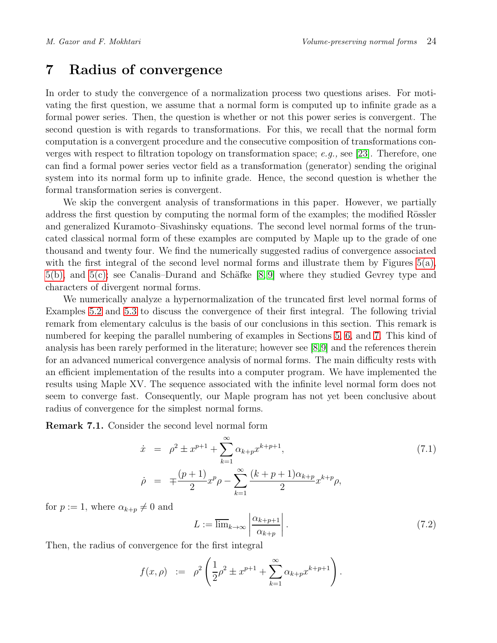# <span id="page-23-0"></span>7 Radius of convergence

In order to study the convergence of a normalization process two questions arises. For motivating the first question, we assume that a normal form is computed up to infinite grade as a formal power series. Then, the question is whether or not this power series is convergent. The second question is with regards to transformations. For this, we recall that the normal form computation is a convergent procedure and the consecutive composition of transformations con-verges with respect to filtration topology on transformation space; e.g., see [\[23\]](#page-26-14). Therefore, one can find a formal power series vector field as a transformation (generator) sending the original system into its normal form up to infinite grade. Hence, the second question is whether the formal transformation series is convergent.

We skip the convergent analysis of transformations in this paper. However, we partially address the first question by computing the normal form of the examples; the modified Rössler and generalized Kuramoto–Sivashinsky equations. The second level normal forms of the truncated classical normal form of these examples are computed by Maple up to the grade of one thousand and twenty four. We find the numerically suggested radius of convergence associated with the first integral of the second level normal forms and illustrate them by Figures  $5(a)$ ,  $5(b)$ , and  $5(c)$ ; see Canalis–Durand and Schäfke [\[8,](#page-25-14)9] where they studied Gevrey type and characters of divergent normal forms.

We numerically analyze a hypernormalization of the truncated first level normal forms of Examples [5.2](#page-15-0) and [5.3](#page-16-0) to discuss the convergence of their first integral. The following trivial remark from elementary calculus is the basis of our conclusions in this section. This remark is numbered for keeping the parallel numbering of examples in Sections [5,](#page-14-0) [6,](#page-18-0) and [7.](#page-23-0) This kind of analysis has been rarely performed in the literature; however see [\[8,](#page-25-14)[9\]](#page-25-15) and the references therein for an advanced numerical convergence analysis of normal forms. The main difficulty rests with an efficient implementation of the results into a computer program. We have implemented the results using Maple XV. The sequence associated with the infinite level normal form does not seem to converge fast. Consequently, our Maple program has not yet been conclusive about radius of convergence for the simplest normal forms.

Remark 7.1. Consider the second level normal form

<span id="page-23-1"></span>
$$
\dot{x} = \rho^2 \pm x^{p+1} + \sum_{k=1}^{\infty} \alpha_{k+p} x^{k+p+1},
$$
\n
$$
\dot{\rho} = \mp \frac{(p+1)}{2} x^p \rho - \sum_{k=1}^{\infty} \frac{(k+p+1)\alpha_{k+p}}{2} x^{k+p} \rho,
$$
\n(7.1)

for  $p := 1$ , where  $\alpha_{k+p} \neq 0$  and

$$
L := \overline{\lim}_{k \to \infty} \left| \frac{\alpha_{k+p+1}}{\alpha_{k+p}} \right|.
$$
\n(7.2)

Then, the radius of convergence for the first integral

$$
f(x, \rho) := \rho^2 \left( \frac{1}{2} \rho^2 \pm x^{p+1} + \sum_{k=1}^{\infty} \alpha_{k+p} x^{k+p+1} \right).
$$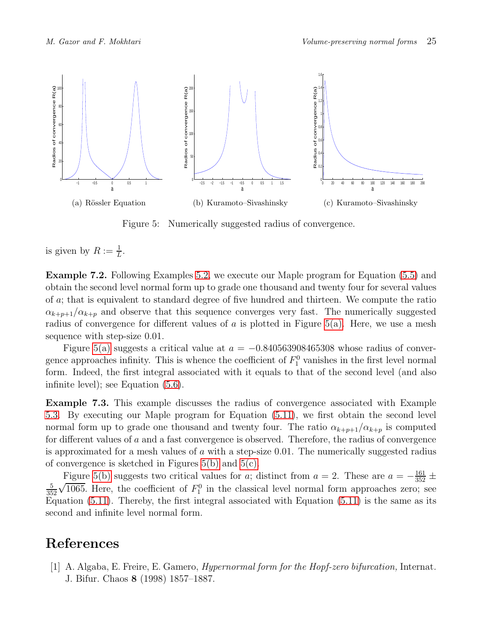<span id="page-24-3"></span>

<span id="page-24-5"></span><span id="page-24-4"></span>Figure 5: Numerically suggested radius of convergence.

is given by  $R := \frac{1}{L}$ .

<span id="page-24-0"></span>Example 7.2. Following Examples [5.2,](#page-15-0) we execute our Maple program for Equation [\(5.5\)](#page-16-2) and obtain the second level normal form up to grade one thousand and twenty four for several values of a; that is equivalent to standard degree of five hundred and thirteen. We compute the ratio  $\alpha_{k+p+1}/\alpha_{k+p}$  and observe that this sequence converges very fast. The numerically suggested radius of convergence for different values of a is plotted in Figure [5\(a\).](#page-24-3) Here, we use a mesh sequence with step-size 0.01.

Figure [5\(a\)](#page-24-3) suggests a critical value at  $a = -0.840563908465308$  whose radius of convergence approaches infinity. This is whence the coefficient of  $F_1^0$  vanishes in the first level normal form. Indeed, the first integral associated with it equals to that of the second level (and also infinite level); see Equation [\(5.6\)](#page-16-3).

<span id="page-24-1"></span>Example 7.3. This example discusses the radius of convergence associated with Example [5.3.](#page-16-0) By executing our Maple program for Equation [\(5.11\)](#page-17-2), we first obtain the second level normal form up to grade one thousand and twenty four. The ratio  $\alpha_{k+p+1}/\alpha_{k+p}$  is computed for different values of a and a fast convergence is observed. Therefore, the radius of convergence is approximated for a mesh values of a with a step-size  $0.01$ . The numerically suggested radius of convergence is sketched in Figures [5\(b\)](#page-24-4) and [5\(c\).](#page-24-5)

Figure [5\(b\)](#page-24-4) suggests two critical values for a; distinct from  $a = 2$ . These are  $a = -\frac{161}{352} \pm \frac{1}{2}$ 5 352  $\sqrt{1065}$ . Here, the coefficient of  $F_1^0$  in the classical level normal form approaches zero; see Equation [\(5.11\)](#page-17-2). Thereby, the first integral associated with Equation [\(5.11\)](#page-17-2) is the same as its second and infinite level normal form.

## <span id="page-24-2"></span>References

[1] A. Algaba, E. Freire, E. Gamero, *Hypernormal form for the Hopf-zero bifurcation*, Internat. J. Bifur. Chaos 8 (1998) 1857–1887.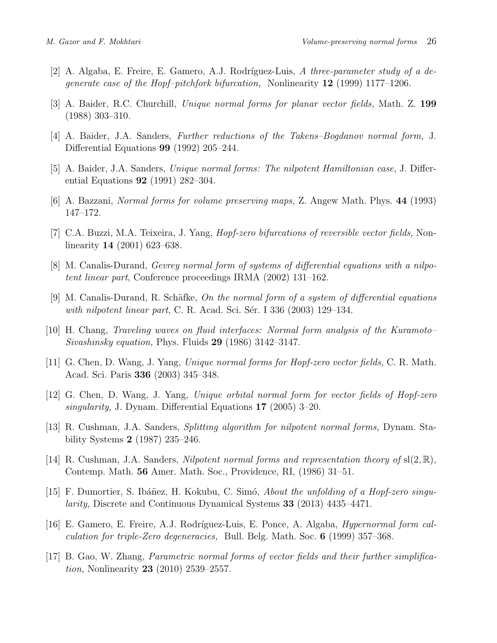- <span id="page-25-10"></span><span id="page-25-6"></span>[2] A. Algaba, E. Freire, E. Gamero, A.J. Rodríguez-Luis, A three-parameter study of a degenerate case of the Hopf–pitchfork bifurcation, Nonlinearity  $12$  (1999) 1177–1206.
- <span id="page-25-3"></span>[3] A. Baider, R.C. Churchill, Unique normal forms for planar vector fields, Math. Z. 199 (1988) 303–310.
- <span id="page-25-4"></span>[4] A. Baider, J.A. Sanders, Further reductions of the Takens–Bogdanov normal form, J. Differential Equations 99 (1992) 205–244.
- <span id="page-25-5"></span>[5] A. Baider, J.A. Sanders, Unique normal forms: The nilpotent Hamiltonian case, J. Differential Equations 92 (1991) 282–304.
- <span id="page-25-11"></span>[6] A. Bazzani, Normal forms for volume preserving maps, Z. Angew Math. Phys. 44 (1993) 147–172.
- <span id="page-25-14"></span>[7] C.A. Buzzi, M.A. Teixeira, J. Yang, *Hopf-zero bifurcations of reversible vector fields*, Nonlinearity 14 (2001) 623–638.
- <span id="page-25-15"></span>[8] M. Canalis-Durand, Gevrey normal form of systems of differential equations with a nilpotent linear part, Conference proceedings IRMA (2002) 131–162.
- <span id="page-25-13"></span>[9] M. Canalis-Durand, R. Schäfke, On the normal form of a system of differential equations with nilpotent linear part, C. R. Acad. Sci. Sér. I  $336$   $(2003)$  129–134.
- <span id="page-25-0"></span>[10] H. Chang, Traveling waves on fluid interfaces: Normal form analysis of the Kuramoto– Sivashinsky equation, Phys. Fluids 29 (1986) 3142–3147.
- <span id="page-25-1"></span>[11] G. Chen, D. Wang, J. Yang, Unique normal forms for Hopf-zero vector fields, C. R. Math. Acad. Sci. Paris 336 (2003) 345–348.
- <span id="page-25-7"></span>[12] G. Chen, D. Wang, J. Yang, Unique orbital normal form for vector fields of Hopf-zero singularity, J. Dynam. Differential Equations 17 (2005) 3–20.
- <span id="page-25-8"></span>[13] R. Cushman, J.A. Sanders, Splitting algorithm for nilpotent normal forms, Dynam. Stability Systems 2 (1987) 235–246.
- [14] R. Cushman, J.A. Sanders, *Nilpotent normal forms and representation theory of*  $sl(2, \mathbb{R})$ , Contemp. Math. 56 Amer. Math. Soc., Providence, RI, (1986) 31–51.
- <span id="page-25-12"></span>[15] F. Dumortier, S. Ibáñez, H. Kokubu, C. Simó, About the unfolding of a Hopf-zero singularity, Discrete and Continuous Dynamical Systems 33 (2013) 4435–4471.
- <span id="page-25-2"></span>[16] E. Gamero, E. Freire, A.J. Rodríguez-Luis, E. Ponce, A. Algaba, *Hypernormal form cal*culation for triple-Zero degeneracies, Bull. Belg. Math. Soc. 6 (1999) 357–368.
- <span id="page-25-9"></span>[17] B. Gao, W. Zhang, Parametric normal forms of vector fields and their further simplification, Nonlinearity 23 (2010) 2539–2557.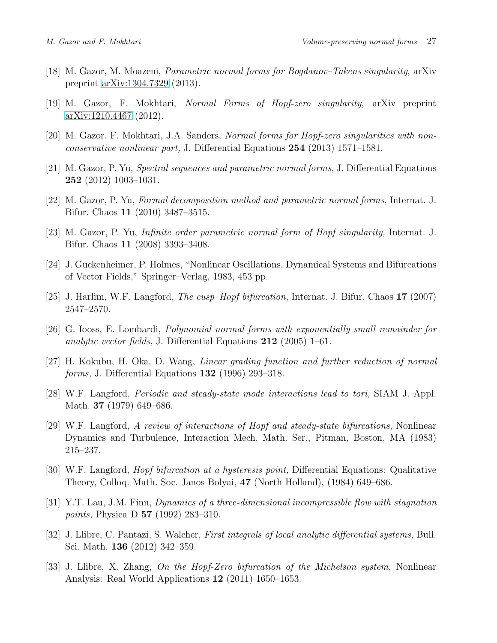- <span id="page-26-7"></span><span id="page-26-0"></span>[18] M. Gazor, M. Moazeni, Parametric normal forms for Bogdanov–Takens singularity, arXiv preprint [arXiv:1304.7329](http://arxiv.org/abs/1304.7329) (2013).
- <span id="page-26-1"></span>[19] M. Gazor, F. Mokhtari, Normal Forms of Hopf-zero singularity, arXiv preprint [arXiv:1210.4467](http://arxiv.org/abs/1210.4467) (2012).
- <span id="page-26-6"></span>[20] M. Gazor, F. Mokhtari, J.A. Sanders, Normal forms for Hopf-zero singularities with nonconservative nonlinear part, J. Differential Equations 254 (2013) 1571–1581.
- <span id="page-26-9"></span>[21] M. Gazor, P. Yu, Spectral sequences and parametric normal forms, J. Differential Equations 252 (2012) 1003–1031.
- <span id="page-26-14"></span>[22] M. Gazor, P. Yu, Formal decomposition method and parametric normal forms, Internat. J. Bifur. Chaos 11 (2010) 3487–3515.
- <span id="page-26-3"></span>[23] M. Gazor, P. Yu, Infinite order parametric normal form of Hopf singularity, Internat. J. Bifur. Chaos 11 (2008) 3393–3408.
- <span id="page-26-10"></span>[24] J. Guckenheimer, P. Holmes, "Nonlinear Oscillations, Dynamical Systems and Bifurcations of Vector Fields," Springer–Verlag, 1983, 453 pp.
- <span id="page-26-4"></span>[25] J. Harlim, W.F. Langford, *The cusp–Hopf bifurcation*, Internat. J. Bifur. Chaos  $17$  (2007) 2547–2570.
- <span id="page-26-8"></span>[26] G. Iooss, E. Lombardi, Polynomial normal forms with exponentially small remainder for analytic vector fields, J. Differential Equations 212 (2005) 1–61.
- <span id="page-26-11"></span>[27] H. Kokubu, H. Oka, D. Wang, Linear grading function and further reduction of normal forms, J. Differential Equations 132 (1996) 293–318.
- [28] W.F. Langford, Periodic and steady-state mode interactions lead to tori, SIAM J. Appl. Math. 37 (1979) 649–686.
- [29] W.F. Langford, A review of interactions of Hopf and steady-state bifurcations, Nonlinear Dynamics and Turbulence, Interaction Mech. Math. Ser., Pitman, Boston, MA (1983) 215–237.
- <span id="page-26-12"></span>[30] W.F. Langford, Hopf bifurcation at a hysteresis point, Differential Equations: Qualitative Theory, Colloq. Math. Soc. Janos Bolyai, 47 (North Holland), (1984) 649–686.
- <span id="page-26-2"></span>[31] Y.T. Lau, J.M. Finn, Dynamics of a three-dimensional incompressible flow with stagnation points, Physica D 57 (1992) 283–310.
- <span id="page-26-13"></span><span id="page-26-5"></span>[32] J. Llibre, C. Pantazi, S. Walcher, *First integrals of local analytic differential systems*, Bull. Sci. Math. 136 (2012) 342–359.
- [33] J. Llibre, X. Zhang, On the Hopf-Zero bifurcation of the Michelson system, Nonlinear Analysis: Real World Applications 12 (2011) 1650–1653.